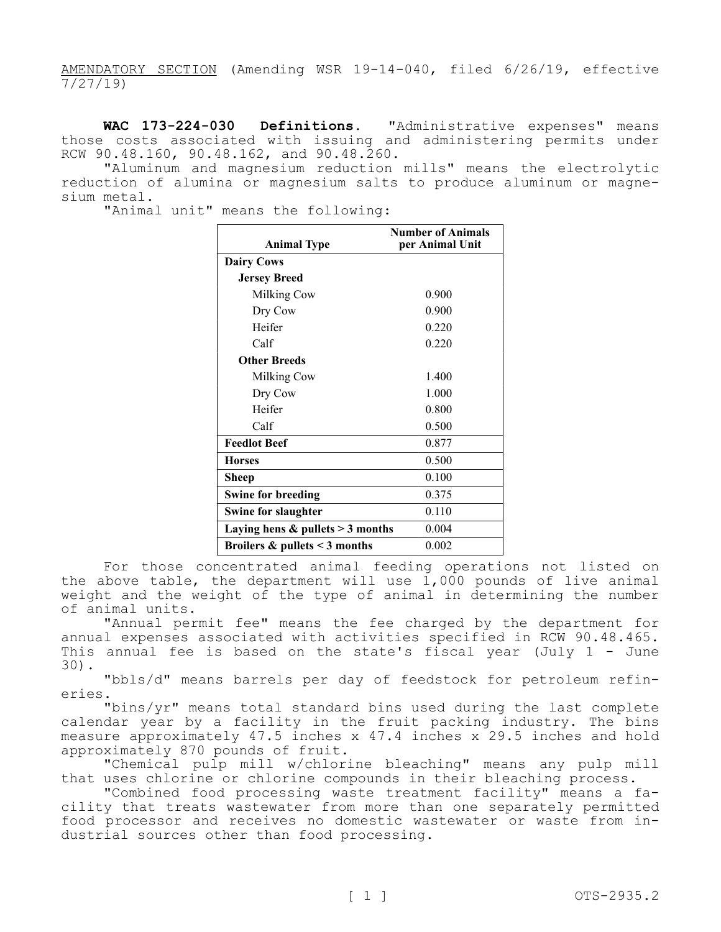AMENDATORY SECTION (Amending WSR 19-14-040, filed 6/26/19, effective  $\frac{7}{27/19}$ 

**WAC 173-224-030 Definitions.** "Administrative expenses" means those costs associated with issuing and administering permits under RCW 90.48.160, 90.48.162, and 90.48.260.

"Aluminum and magnesium reduction mills" means the electrolytic reduction of alumina or magnesium salts to produce aluminum or magnesium metal.

"Animal unit" means the following:

| <b>Animal Type</b>                   | <b>Number of Animals</b><br>per Animal Unit |
|--------------------------------------|---------------------------------------------|
| <b>Dairy Cows</b>                    |                                             |
| <b>Jersey Breed</b>                  |                                             |
| Milking Cow                          | 0.900                                       |
| Dry Cow                              | 0.900                                       |
| Heifer                               | 0.220                                       |
| Calf                                 | 0.220                                       |
| <b>Other Breeds</b>                  |                                             |
| Milking Cow                          | 1.400                                       |
| Dry Cow                              | 1.000                                       |
| Heifer                               | 0.800                                       |
| Calf                                 | 0.500                                       |
| <b>Feedlot Beef</b>                  | 0.877                                       |
| <b>Horses</b>                        | 0.500                                       |
| Sheep                                | 0.100                                       |
| <b>Swine for breeding</b>            | 0.375                                       |
| <b>Swine for slaughter</b>           | 0.110                                       |
| Laying hens $&$ pullets $>$ 3 months | 0.004                                       |
| Broilers $\&$ pullets < 3 months     | 0.002                                       |

For those concentrated animal feeding operations not listed on the above table, the department will use 1,000 pounds of live animal weight and the weight of the type of animal in determining the number of animal units.

"Annual permit fee" means the fee charged by the department for annual expenses associated with activities specified in RCW 90.48.465. This annual fee is based on the state's fiscal year (July 1 - June 30).

"bbls/d" means barrels per day of feedstock for petroleum refineries.

"bins/yr" means total standard bins used during the last complete calendar year by a facility in the fruit packing industry. The bins measure approximately 47.5 inches x 47.4 inches x 29.5 inches and hold approximately 870 pounds of fruit.

"Chemical pulp mill w/chlorine bleaching" means any pulp mill that uses chlorine or chlorine compounds in their bleaching process.

"Combined food processing waste treatment facility" means a facility that treats wastewater from more than one separately permitted food processor and receives no domestic wastewater or waste from industrial sources other than food processing.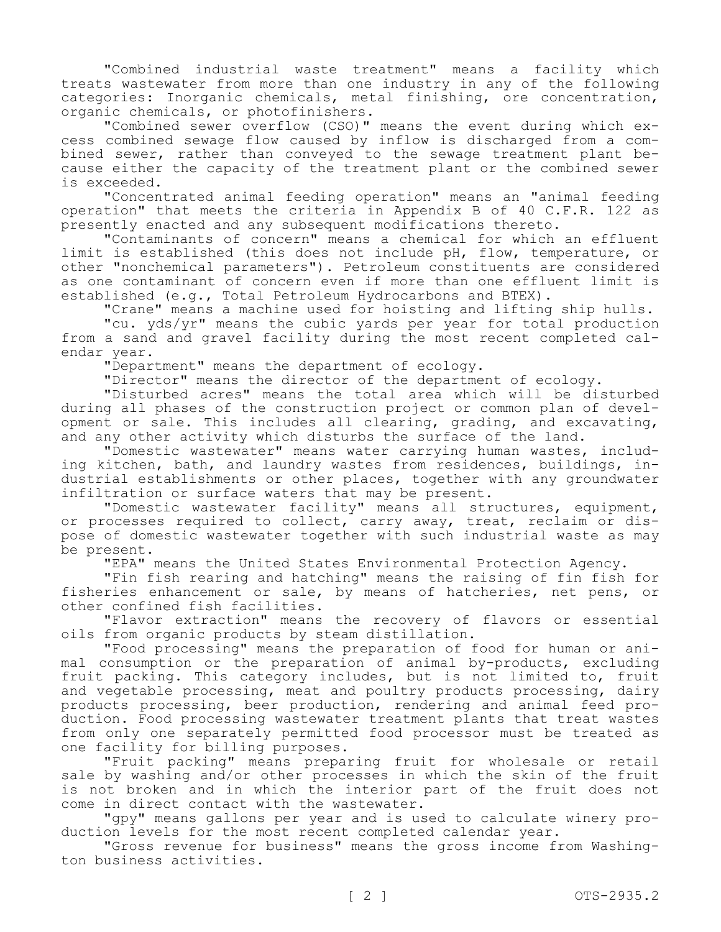"Combined industrial waste treatment" means a facility which treats wastewater from more than one industry in any of the following categories: Inorganic chemicals, metal finishing, ore concentration, organic chemicals, or photofinishers.

"Combined sewer overflow (CSO)" means the event during which excess combined sewage flow caused by inflow is discharged from a combined sewer, rather than conveyed to the sewage treatment plant because either the capacity of the treatment plant or the combined sewer is exceeded.

"Concentrated animal feeding operation" means an "animal feeding operation" that meets the criteria in Appendix B of 40 C.F.R. 122 as presently enacted and any subsequent modifications thereto.

"Contaminants of concern" means a chemical for which an effluent limit is established (this does not include pH, flow, temperature, or other "nonchemical parameters"). Petroleum constituents are considered as one contaminant of concern even if more than one effluent limit is established (e.g., Total Petroleum Hydrocarbons and BTEX).

"Crane" means a machine used for hoisting and lifting ship hulls.

"cu. yds/yr" means the cubic yards per year for total production from a sand and gravel facility during the most recent completed calendar year.

"Department" means the department of ecology.

"Director" means the director of the department of ecology.

"Disturbed acres" means the total area which will be disturbed during all phases of the construction project or common plan of development or sale. This includes all clearing, grading, and excavating, and any other activity which disturbs the surface of the land.

"Domestic wastewater" means water carrying human wastes, including kitchen, bath, and laundry wastes from residences, buildings, industrial establishments or other places, together with any groundwater infiltration or surface waters that may be present.

"Domestic wastewater facility" means all structures, equipment, or processes required to collect, carry away, treat, reclaim or dispose of domestic wastewater together with such industrial waste as may be present.

"EPA" means the United States Environmental Protection Agency.

"Fin fish rearing and hatching" means the raising of fin fish for fisheries enhancement or sale, by means of hatcheries, net pens, or other confined fish facilities.

"Flavor extraction" means the recovery of flavors or essential oils from organic products by steam distillation.

"Food processing" means the preparation of food for human or animal consumption or the preparation of animal by-products, excluding fruit packing. This category includes, but is not limited to, fruit and vegetable processing, meat and poultry products processing, dairy products processing, beer production, rendering and animal feed production. Food processing wastewater treatment plants that treat wastes from only one separately permitted food processor must be treated as one facility for billing purposes.

"Fruit packing" means preparing fruit for wholesale or retail sale by washing and/or other processes in which the skin of the fruit is not broken and in which the interior part of the fruit does not come in direct contact with the wastewater.

"gpy" means gallons per year and is used to calculate winery production levels for the most recent completed calendar year.

"Gross revenue for business" means the gross income from Washington business activities.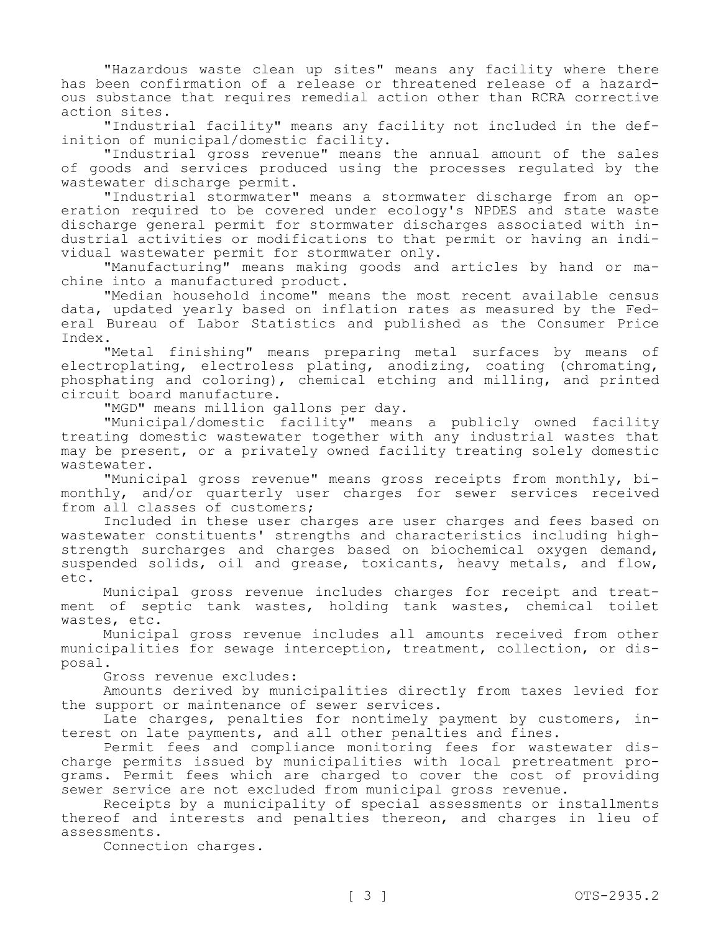"Hazardous waste clean up sites" means any facility where there has been confirmation of a release or threatened release of a hazardous substance that requires remedial action other than RCRA corrective action sites.

"Industrial facility" means any facility not included in the definition of municipal/domestic facility.

"Industrial gross revenue" means the annual amount of the sales of goods and services produced using the processes regulated by the wastewater discharge permit.

"Industrial stormwater" means a stormwater discharge from an operation required to be covered under ecology's NPDES and state waste discharge general permit for stormwater discharges associated with industrial activities or modifications to that permit or having an individual wastewater permit for stormwater only.

"Manufacturing" means making goods and articles by hand or machine into a manufactured product.

"Median household income" means the most recent available census data, updated yearly based on inflation rates as measured by the Federal Bureau of Labor Statistics and published as the Consumer Price Index.

"Metal finishing" means preparing metal surfaces by means of electroplating, electroless plating, anodizing, coating (chromating, phosphating and coloring), chemical etching and milling, and printed circuit board manufacture.

"MGD" means million gallons per day.

"Municipal/domestic facility" means a publicly owned facility treating domestic wastewater together with any industrial wastes that may be present, or a privately owned facility treating solely domestic wastewater.

"Municipal gross revenue" means gross receipts from monthly, bimonthly, and/or quarterly user charges for sewer services received from all classes of customers;

Included in these user charges are user charges and fees based on wastewater constituents' strengths and characteristics including highstrength surcharges and charges based on biochemical oxygen demand, suspended solids, oil and grease, toxicants, heavy metals, and flow, etc.

Municipal gross revenue includes charges for receipt and treatment of septic tank wastes, holding tank wastes, chemical toilet wastes, etc.

Municipal gross revenue includes all amounts received from other municipalities for sewage interception, treatment, collection, or disposal.

Gross revenue excludes:

Amounts derived by municipalities directly from taxes levied for the support or maintenance of sewer services.

Late charges, penalties for nontimely payment by customers, interest on late payments, and all other penalties and fines.

Permit fees and compliance monitoring fees for wastewater discharge permits issued by municipalities with local pretreatment programs. Permit fees which are charged to cover the cost of providing sewer service are not excluded from municipal gross revenue.

Receipts by a municipality of special assessments or installments thereof and interests and penalties thereon, and charges in lieu of assessments.

Connection charges.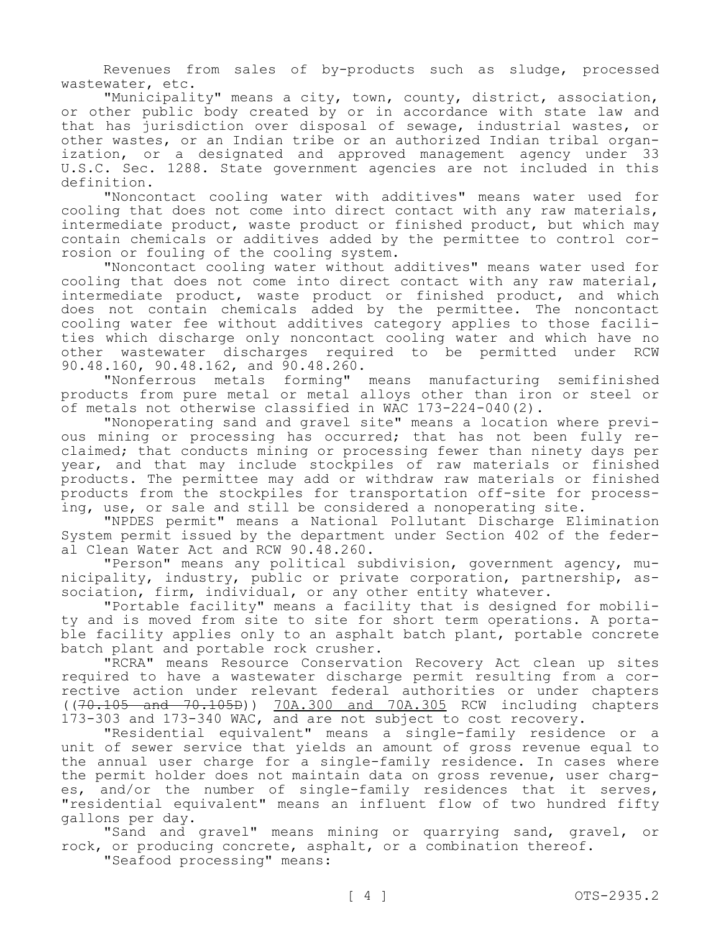Revenues from sales of by-products such as sludge, processed wastewater, etc.

"Municipality" means a city, town, county, district, association, or other public body created by or in accordance with state law and that has jurisdiction over disposal of sewage, industrial wastes, or other wastes, or an Indian tribe or an authorized Indian tribal organization, or a designated and approved management agency under 33 U.S.C. Sec. 1288. State government agencies are not included in this definition.

"Noncontact cooling water with additives" means water used for cooling that does not come into direct contact with any raw materials, intermediate product, waste product or finished product, but which may contain chemicals or additives added by the permittee to control corrosion or fouling of the cooling system.

"Noncontact cooling water without additives" means water used for cooling that does not come into direct contact with any raw material, intermediate product, waste product or finished product, and which does not contain chemicals added by the permittee. The noncontact cooling water fee without additives category applies to those facilities which discharge only noncontact cooling water and which have no other wastewater discharges required to be permitted under RCW 90.48.160, 90.48.162, and 90.48.260.

"Nonferrous metals forming" means manufacturing semifinished products from pure metal or metal alloys other than iron or steel or of metals not otherwise classified in WAC 173-224-040(2).

"Nonoperating sand and gravel site" means a location where previous mining or processing has occurred; that has not been fully reclaimed; that conducts mining or processing fewer than ninety days per year, and that may include stockpiles of raw materials or finished products. The permittee may add or withdraw raw materials or finished products from the stockpiles for transportation off-site for processing, use, or sale and still be considered a nonoperating site.

"NPDES permit" means a National Pollutant Discharge Elimination System permit issued by the department under Section 402 of the federal Clean Water Act and RCW 90.48.260.

"Person" means any political subdivision, government agency, municipality, industry, public or private corporation, partnership, association, firm, individual, or any other entity whatever.

"Portable facility" means a facility that is designed for mobility and is moved from site to site for short term operations. A portable facility applies only to an asphalt batch plant, portable concrete batch plant and portable rock crusher.

"RCRA" means Resource Conservation Recovery Act clean up sites required to have a wastewater discharge permit resulting from a corrective action under relevant federal authorities or under chapters ((70.105 and 70.105D)) 70A.300 and 70A.305 RCW including chapters 173-303 and 173-340 WAC, and are not subject to cost recovery.

"Residential equivalent" means a single-family residence or a unit of sewer service that yields an amount of gross revenue equal to the annual user charge for a single-family residence. In cases where the permit holder does not maintain data on gross revenue, user charges, and/or the number of single-family residences that it serves, "residential equivalent" means an influent flow of two hundred fifty gallons per day.

"Sand and gravel" means mining or quarrying sand, gravel, or rock, or producing concrete, asphalt, or a combination thereof.

"Seafood processing" means: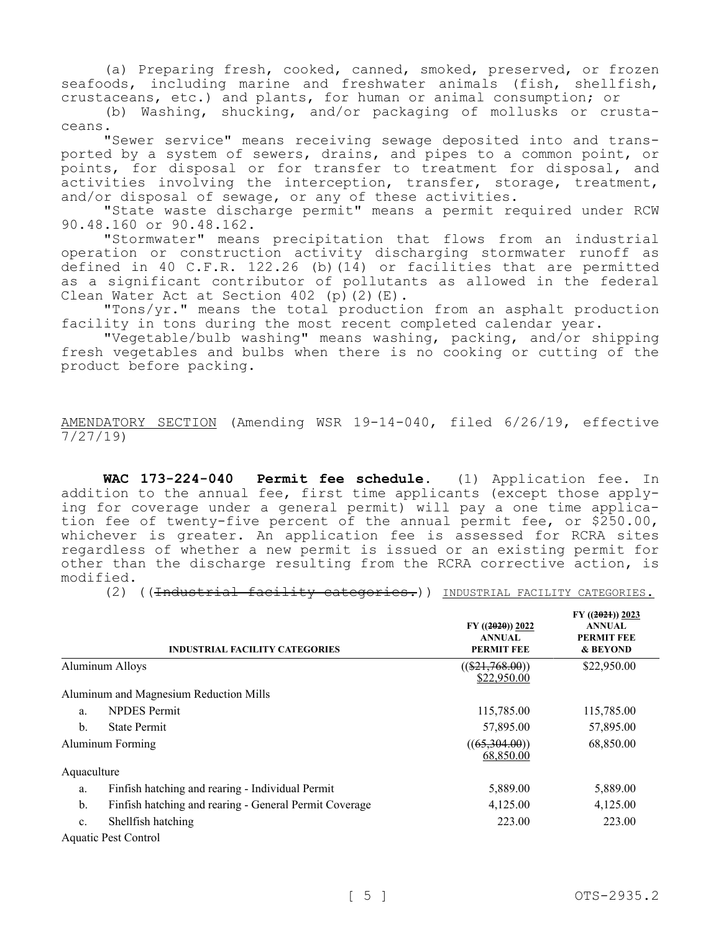(a) Preparing fresh, cooked, canned, smoked, preserved, or frozen seafoods, including marine and freshwater animals (fish, shellfish, crustaceans, etc.) and plants, for human or animal consumption; or

(b) Washing, shucking, and/or packaging of mollusks or crustaceans.

"Sewer service" means receiving sewage deposited into and transported by a system of sewers, drains, and pipes to a common point, or points, for disposal or for transfer to treatment for disposal, and activities involving the interception, transfer, storage, treatment, and/or disposal of sewage, or any of these activities.

"State waste discharge permit" means a permit required under RCW 90.48.160 or 90.48.162.

"Stormwater" means precipitation that flows from an industrial operation or construction activity discharging stormwater runoff as defined in 40 C.F.R. 122.26 (b)(14) or facilities that are permitted as a significant contributor of pollutants as allowed in the federal Clean Water Act at Section 402 (p)(2)(E).

"Tons/yr." means the total production from an asphalt production facility in tons during the most recent completed calendar year.

"Vegetable/bulb washing" means washing, packing, and/or shipping fresh vegetables and bulbs when there is no cooking or cutting of the product before packing.

AMENDATORY SECTION (Amending WSR 19-14-040, filed 6/26/19, effective 7/27/19)

**WAC 173-224-040 Permit fee schedule.** (1) Application fee. In addition to the annual fee, first time applicants (except those applying for coverage under a general permit) will pay a one time application fee of twenty-five percent of the annual permit fee, or \$250.00, whichever is greater. An application fee is assessed for RCRA sites regardless of whether a new permit is issued or an existing permit for other than the discharge resulting from the RCRA corrective action, is modified.

(2) ((<del>Industrial facility categories.</del>)) INDUSTRIAL FACILITY CATEGORIES.

|                | <b>INDUSTRIAL FACILITY CATEGORIES</b>                  | $FY$ ((2020)) 2022<br><b>ANNUAL</b><br><b>PERMIT FEE</b> | $FY$ ((2021)) 2023<br><b>ANNUAL</b><br><b>PERMIT FEE</b><br>& BEYOND |
|----------------|--------------------------------------------------------|----------------------------------------------------------|----------------------------------------------------------------------|
|                | <b>Aluminum Alloys</b>                                 | $((\$21,768.00))$<br>\$22,950.00                         | \$22,950.00                                                          |
|                | Aluminum and Magnesium Reduction Mills                 |                                                          |                                                                      |
| a.             | <b>NPDES</b> Permit                                    | 115,785.00                                               | 115,785.00                                                           |
| b.             | <b>State Permit</b>                                    | 57,895.00                                                | 57,895.00                                                            |
|                | Aluminum Forming                                       | ((65,304.00))<br>68,850.00                               | 68,850.00                                                            |
| Aquaculture    |                                                        |                                                          |                                                                      |
| a.             | Finfish hatching and rearing - Individual Permit       | 5,889.00                                                 | 5,889.00                                                             |
| b.             | Finfish hatching and rearing - General Permit Coverage | 4,125.00                                                 | 4,125.00                                                             |
| $\mathbf{c}$ . | Shellfish hatching                                     | 223.00                                                   | 223.00                                                               |
|                | Aquatic Pest Control                                   |                                                          |                                                                      |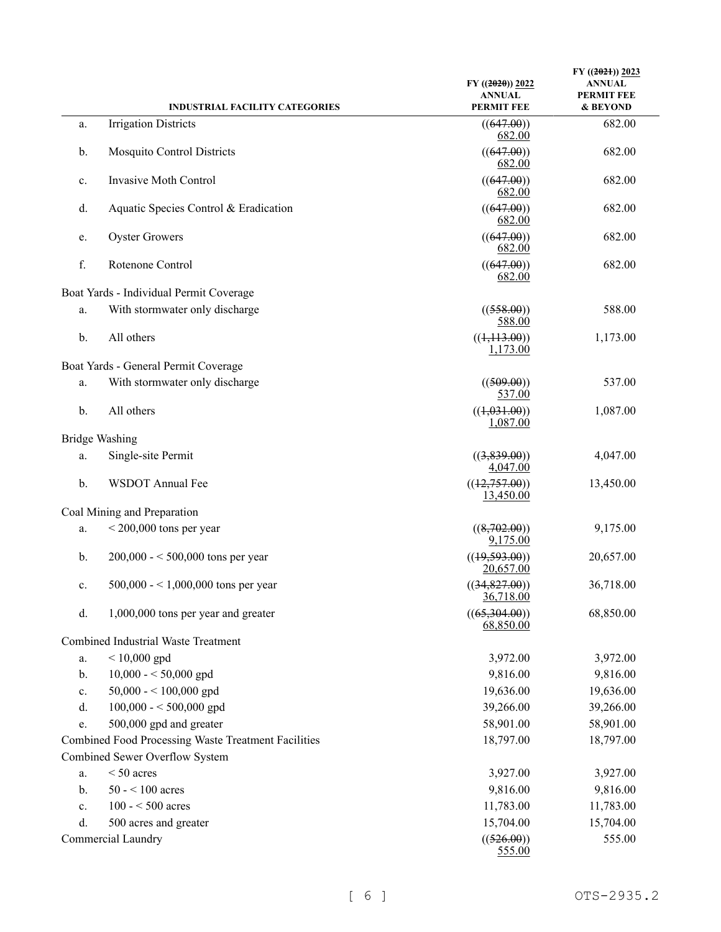|    | <b>INDUSTRIAL FACILITY CATEGORIES</b>               | $FY$ ((2020)) 2022<br><b>ANNUAL</b><br><b>PERMIT FEE</b> | FY $((2021))$ 2023<br><b>ANNUAL</b><br><b>PERMIT FEE</b><br>& BEYOND |
|----|-----------------------------------------------------|----------------------------------------------------------|----------------------------------------------------------------------|
|    | <b>Irrigation Districts</b>                         |                                                          | 682.00                                                               |
| a. |                                                     | ((647.00))<br>682.00                                     |                                                                      |
| b. | <b>Mosquito Control Districts</b>                   | ((647.00))<br>682.00                                     | 682.00                                                               |
| c. | Invasive Moth Control                               | ((647.00))<br>682.00                                     | 682.00                                                               |
| d. | Aquatic Species Control & Eradication               | ((647.00))<br>682.00                                     | 682.00                                                               |
| e. | <b>Oyster Growers</b>                               | ((647.00))<br>682.00                                     | 682.00                                                               |
| f. | Rotenone Control                                    | ((647.00))<br>682.00                                     | 682.00                                                               |
|    | Boat Yards - Individual Permit Coverage             |                                                          |                                                                      |
| a. | With stormwater only discharge                      | ((558.00))<br>588.00                                     | 588.00                                                               |
| b. | All others                                          | ((1,113.00))<br>1,173.00                                 | 1,173.00                                                             |
|    | Boat Yards - General Permit Coverage                |                                                          |                                                                      |
| a. | With stormwater only discharge                      | ((509.00))<br>537.00                                     | 537.00                                                               |
| b. | All others                                          | ((1,031.00))<br>1,087.00                                 | 1,087.00                                                             |
|    | <b>Bridge Washing</b>                               |                                                          |                                                                      |
| a. | Single-site Permit                                  | ((3,839.00))<br>4,047.00                                 | 4,047.00                                                             |
| b. | WSDOT Annual Fee                                    | ((12,757.00))<br>13,450.00                               | 13,450.00                                                            |
|    | Coal Mining and Preparation                         |                                                          |                                                                      |
| a. | $< 200,000$ tons per year                           | ((8,702.00))<br>9,175.00                                 | 9,175.00                                                             |
| b. | $200,000 - 500,000$ tons per year                   | ((19,593.00))<br>20,657.00                               | 20,657.00                                                            |
| c. | $500,000 - 1,000,000$ tons per year                 | ((34,827.00))<br>36,718.00                               | 36,718.00                                                            |
| d. | 1,000,000 tons per year and greater                 | ((65,304.00))<br>68,850.00                               | 68,850.00                                                            |
|    | <b>Combined Industrial Waste Treatment</b>          |                                                          |                                                                      |
| a. | $< 10,000$ gpd                                      | 3,972.00                                                 | 3,972.00                                                             |
| b. | $10,000 - 50,000$ gpd                               | 9,816.00                                                 | 9,816.00                                                             |
| c. | 50,000 - < 100,000 gpd                              | 19,636.00                                                | 19,636.00                                                            |
| d. | $100,000 - 500,000$ gpd                             | 39,266.00                                                | 39,266.00                                                            |
| e. | 500,000 gpd and greater                             | 58,901.00                                                | 58,901.00                                                            |
|    | Combined Food Processing Waste Treatment Facilities | 18,797.00                                                | 18,797.00                                                            |
|    | Combined Sewer Overflow System                      |                                                          |                                                                      |
| a. | $< 50$ acres                                        | 3,927.00                                                 | 3,927.00                                                             |
| b. | $50 - 100$ acres                                    | 9,816.00                                                 | 9,816.00                                                             |
| c. | $100 - 500$ acres                                   | 11,783.00                                                | 11,783.00                                                            |
| d. | 500 acres and greater                               | 15,704.00                                                | 15,704.00                                                            |
|    | Commercial Laundry                                  | ((526.00))<br>555.00                                     | 555.00                                                               |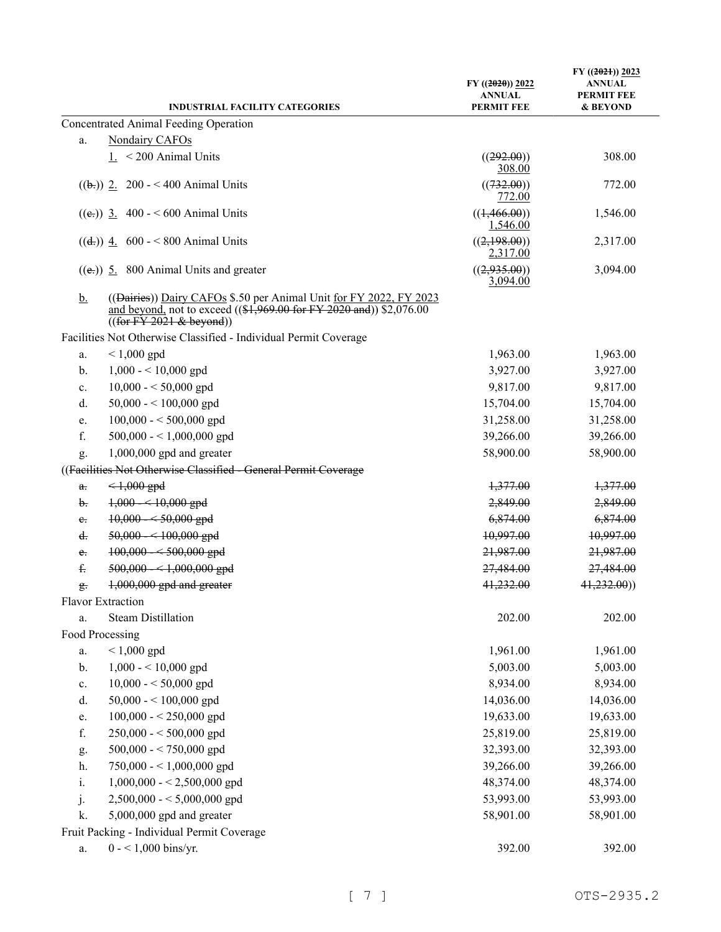|                      | <b>INDUSTRIAL FACILITY CATEGORIES</b>                                                                                                                                                  | $FY$ ((2020)) 2022<br><b>ANNUAL</b><br><b>PERMIT FEE</b> | $FY$ ((2021)) 2023<br><b>ANNUAL</b><br><b>PERMIT FEE</b><br>& BEYOND |
|----------------------|----------------------------------------------------------------------------------------------------------------------------------------------------------------------------------------|----------------------------------------------------------|----------------------------------------------------------------------|
|                      | Concentrated Animal Feeding Operation                                                                                                                                                  |                                                          |                                                                      |
| a.                   | Nondairy CAFOs                                                                                                                                                                         |                                                          |                                                                      |
|                      | $1. < 200$ Animal Units                                                                                                                                                                | ((292.00))<br>308.00                                     | 308.00                                                               |
|                      | $((\frac{1}{2})$ 2. 200 - < 400 Animal Units                                                                                                                                           | ((732.00))<br>772.00                                     | 772.00                                                               |
|                      | $((e))$ 3. 400 - < 600 Animal Units                                                                                                                                                    | ((1,466.00))<br>1,546.00                                 | 1,546.00                                                             |
|                      | $((d))$ 4. 600 - < 800 Animal Units                                                                                                                                                    | ((2,198.00))<br>2,317.00                                 | 2,317.00                                                             |
|                      | $((e))$ 5. 800 Animal Units and greater                                                                                                                                                | ((2,935.00))<br>3,094.00                                 | 3,094.00                                                             |
| <u>b.</u>            | ((Dairies)) Dairy CAFOs \$.50 per Animal Unit for FY 2022, FY 2023<br>and beyond, not to exceed $((1,969.00 \text{ for FY } 2020 \text{ and}))$ \$2,076.00<br>((for FY 2021 & beyond)) |                                                          |                                                                      |
|                      | Facilities Not Otherwise Classified - Individual Permit Coverage                                                                                                                       |                                                          |                                                                      |
| a.                   | $< 1,000$ gpd                                                                                                                                                                          | 1,963.00                                                 | 1,963.00                                                             |
| b.                   | $1,000 - 10,000$ gpd                                                                                                                                                                   | 3,927.00                                                 | 3,927.00                                                             |
| c.                   | $10,000 - 50,000$ gpd                                                                                                                                                                  | 9,817.00                                                 | 9,817.00                                                             |
| d.                   | 50,000 - < 100,000 gpd                                                                                                                                                                 | 15,704.00                                                | 15,704.00                                                            |
| e.                   | $100,000 - 500,000$ gpd                                                                                                                                                                | 31,258.00                                                | 31,258.00                                                            |
| f.                   | 500,000 - < 1,000,000 gpd                                                                                                                                                              | 39,266.00                                                | 39,266.00                                                            |
| g.                   | $1,000,000$ gpd and greater                                                                                                                                                            | 58,900.00                                                | 58,900.00                                                            |
|                      | ((Facilities Not Otherwise Classified - General Permit Coverage                                                                                                                        |                                                          |                                                                      |
| a.                   | $<1,000$ gpd                                                                                                                                                                           | 1,377.00                                                 | 1,377.00                                                             |
| b.                   | $1,000 - 10,000$ gpd                                                                                                                                                                   | 2,849.00                                                 | 2,849.00                                                             |
| e.                   | $10,000 - 50,000$ gpd                                                                                                                                                                  | 6,874.00                                                 | 6,874.00                                                             |
| d.                   | 50,000 - < 100,000 gpd                                                                                                                                                                 | 10,997.00                                                | 10,997.00                                                            |
| e.                   | $100,000 - 500,000$ gpd                                                                                                                                                                | 21,987.00                                                | 21,987.00                                                            |
| £.                   | $500,000 - 1,000,000$ gpd                                                                                                                                                              | 27,484.00                                                | 27,484.00                                                            |
| $\frac{\alpha}{2}$ . | 1,000,000 gpd and greater                                                                                                                                                              | 41,232.00                                                | 41,232.00)                                                           |
|                      | Flavor Extraction                                                                                                                                                                      |                                                          |                                                                      |
| a.                   | <b>Steam Distillation</b>                                                                                                                                                              | 202.00                                                   | 202.00                                                               |
| Food Processing      |                                                                                                                                                                                        |                                                          |                                                                      |
| a.                   | $< 1,000$ gpd                                                                                                                                                                          | 1,961.00                                                 | 1,961.00                                                             |
| b.                   | $1,000 - 10,000$ gpd                                                                                                                                                                   | 5,003.00                                                 | 5,003.00                                                             |
| c.                   | $10,000 - 50,000$ gpd                                                                                                                                                                  | 8,934.00                                                 | 8,934.00                                                             |
| d.                   | 50,000 - < 100,000 gpd                                                                                                                                                                 | 14,036.00                                                | 14,036.00                                                            |
| e.                   | $100,000 - 250,000$ gpd                                                                                                                                                                | 19,633.00                                                | 19,633.00                                                            |
| f.                   | $250,000 - 500,000$ gpd                                                                                                                                                                | 25,819.00                                                | 25,819.00                                                            |
| g.                   | $500,000 - 750,000$ gpd                                                                                                                                                                | 32,393.00                                                | 32,393.00                                                            |
| h.                   | 750,000 - < 1,000,000 gpd                                                                                                                                                              | 39,266.00                                                | 39,266.00                                                            |
| i.                   | $1,000,000 - 2,500,000$ gpd                                                                                                                                                            | 48,374.00                                                | 48,374.00                                                            |
| j.                   | $2,500,000 - 5,000,000$ gpd                                                                                                                                                            | 53,993.00                                                | 53,993.00                                                            |
| k.                   | 5,000,000 gpd and greater                                                                                                                                                              | 58,901.00                                                | 58,901.00                                                            |
|                      | Fruit Packing - Individual Permit Coverage                                                                                                                                             |                                                          |                                                                      |
| a.                   | $0 - 1,000$ bins/yr.                                                                                                                                                                   | 392.00                                                   | 392.00                                                               |
|                      |                                                                                                                                                                                        |                                                          |                                                                      |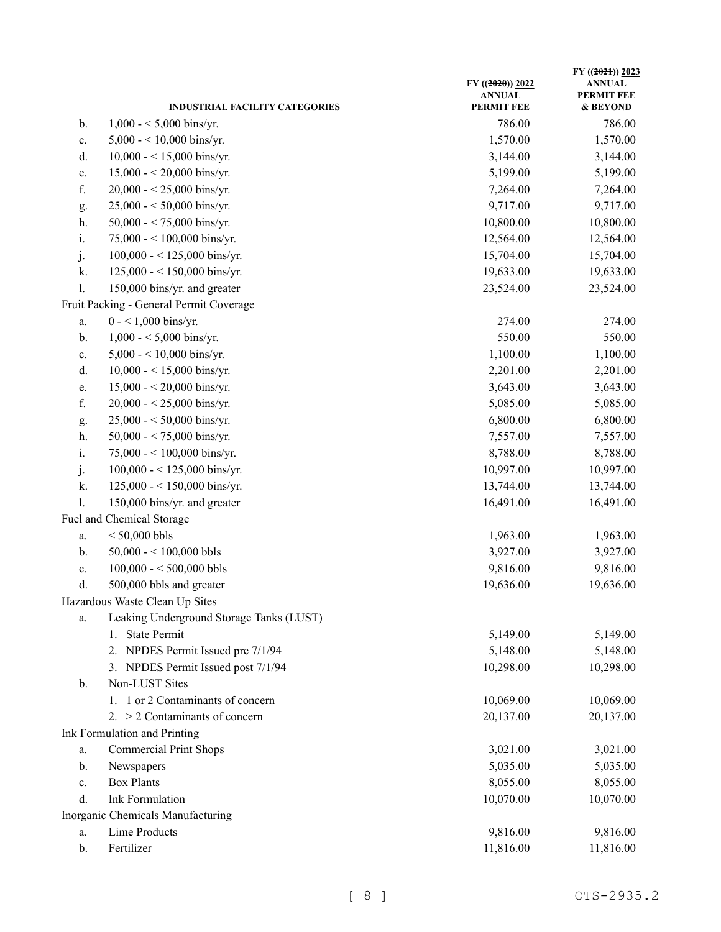|                | <b>INDUSTRIAL FACILITY CATEGORIES</b>    | $FY$ ((2020)) 2022<br><b>ANNUAL</b><br><b>PERMIT FEE</b> | $FY$ ((2021)) 2023<br><b>ANNUAL</b><br><b>PERMIT FEE</b><br>& BEYOND |
|----------------|------------------------------------------|----------------------------------------------------------|----------------------------------------------------------------------|
| b.             | $1,000 - 5,000$ bins/yr.                 | 786.00                                                   | 786.00                                                               |
| $\mathbf{c}.$  | 5,000 - < 10,000 bins/yr.                | 1,570.00                                                 | 1,570.00                                                             |
| d.             | $10,000 - 15,000$ bins/yr.               | 3,144.00                                                 | 3,144.00                                                             |
| e.             | $15,000 - 20,000$ bins/yr.               | 5,199.00                                                 | 5,199.00                                                             |
| f.             | $20,000 - 25,000$ bins/yr.               | 7,264.00                                                 | 7,264.00                                                             |
| g.             | $25,000 - 50,000$ bins/yr.               | 9,717.00                                                 | 9,717.00                                                             |
| h.             | 50,000 - < 75,000 bins/yr.               | 10,800.00                                                | 10,800.00                                                            |
| i.             | 75,000 - < 100,000 bins/yr.              | 12,564.00                                                | 12,564.00                                                            |
| j.             | $100,000 - 125,000$ bins/yr.             | 15,704.00                                                | 15,704.00                                                            |
| k.             | 125,000 - < 150,000 bins/yr.             | 19,633.00                                                | 19,633.00                                                            |
| $\mathbf{l}$ . | 150,000 bins/yr. and greater             | 23,524.00                                                | 23,524.00                                                            |
|                | Fruit Packing - General Permit Coverage  |                                                          |                                                                      |
| a.             | $0 - 1,000$ bins/yr.                     | 274.00                                                   | 274.00                                                               |
| b.             | $1,000 - 5,000$ bins/yr.                 | 550.00                                                   | 550.00                                                               |
| c.             | $5,000 - 10,000$ bins/yr.                | 1,100.00                                                 | 1,100.00                                                             |
| d.             | $10,000 - 15,000$ bins/yr.               | 2,201.00                                                 | 2,201.00                                                             |
| e.             | $15,000 - 20,000$ bins/yr.               | 3,643.00                                                 | 3,643.00                                                             |
| f.             | $20,000 - 25,000$ bins/yr.               | 5,085.00                                                 | 5,085.00                                                             |
| g.             | $25,000 - 50,000$ bins/yr.               | 6,800.00                                                 | 6,800.00                                                             |
| h.             | 50,000 - < 75,000 bins/yr.               | 7,557.00                                                 | 7,557.00                                                             |
| i.             | 75,000 - < 100,000 bins/yr.              | 8,788.00                                                 | 8,788.00                                                             |
| j.             | 100,000 - < 125,000 bins/yr.             | 10,997.00                                                | 10,997.00                                                            |
| k.             | 125,000 - < 150,000 bins/yr.             | 13,744.00                                                | 13,744.00                                                            |
| 1.             | 150,000 bins/yr. and greater             | 16,491.00                                                | 16,491.00                                                            |
|                | Fuel and Chemical Storage                |                                                          |                                                                      |
| a.             | $< 50,000$ bbls                          | 1,963.00                                                 | 1,963.00                                                             |
| b.             | $50,000 - 100,000$ bbls                  | 3,927.00                                                 | 3,927.00                                                             |
| c.             | $100,000 - 500,000$ bbls                 | 9,816.00                                                 | 9,816.00                                                             |
| d.             | 500,000 bbls and greater                 | 19,636.00                                                | 19,636.00                                                            |
|                | Hazardous Waste Clean Up Sites           |                                                          |                                                                      |
| a.             | Leaking Underground Storage Tanks (LUST) |                                                          |                                                                      |
|                | <b>State Permit</b><br>1.                | 5,149.00                                                 | 5,149.00                                                             |
|                | 2. NPDES Permit Issued pre 7/1/94        | 5,148.00                                                 | 5,148.00                                                             |
|                | 3. NPDES Permit Issued post 7/1/94       | 10,298.00                                                | 10,298.00                                                            |
| $\mathbf{b}$ . | Non-LUST Sites                           |                                                          |                                                                      |
|                | 1. 1 or 2 Contaminants of concern        | 10,069.00                                                | 10,069.00                                                            |
|                | 2. $>$ 2 Contaminants of concern         | 20,137.00                                                | 20,137.00                                                            |
|                | Ink Formulation and Printing             |                                                          |                                                                      |
| a.             | <b>Commercial Print Shops</b>            | 3,021.00                                                 | 3,021.00                                                             |
| b.             | Newspapers                               | 5,035.00                                                 | 5,035.00                                                             |
| c.             | <b>Box Plants</b>                        | 8,055.00                                                 | 8,055.00                                                             |
| d.             | <b>Ink Formulation</b>                   | 10,070.00                                                | 10,070.00                                                            |
|                | Inorganic Chemicals Manufacturing        |                                                          |                                                                      |
| a.             | <b>Lime Products</b>                     | 9,816.00                                                 | 9,816.00                                                             |
| b.             | Fertilizer                               | 11,816.00                                                | 11,816.00                                                            |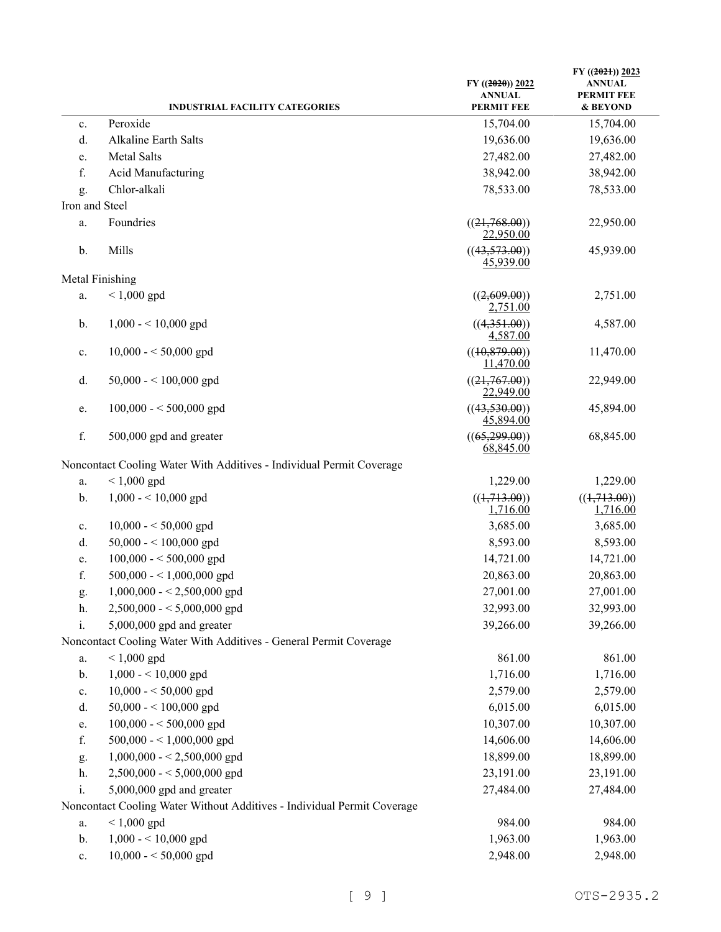|                | <b>INDUSTRIAL FACILITY CATEGORIES</b>                                   | $FY$ ((2020)) 2022<br><b>ANNUAL</b><br><b>PERMIT FEE</b> | $FY$ ((2021)) 2023<br><b>ANNUAL</b><br><b>PERMIT FEE</b><br>& BEYOND |
|----------------|-------------------------------------------------------------------------|----------------------------------------------------------|----------------------------------------------------------------------|
| c.             | Peroxide                                                                | 15,704.00                                                | 15,704.00                                                            |
| d.             | Alkaline Earth Salts                                                    | 19,636.00                                                | 19,636.00                                                            |
| e.             | Metal Salts                                                             | 27,482.00                                                | 27,482.00                                                            |
| f.             | Acid Manufacturing                                                      | 38,942.00                                                | 38,942.00                                                            |
| g.             | Chlor-alkali                                                            | 78,533.00                                                | 78,533.00                                                            |
| Iron and Steel |                                                                         |                                                          |                                                                      |
| a.             | Foundries                                                               | ((21,768.00))                                            | 22,950.00                                                            |
|                |                                                                         | 22,950.00                                                |                                                                      |
| b.             | Mills                                                                   | ((43,573.00))<br>45,939.00                               | 45,939.00                                                            |
|                | Metal Finishing                                                         |                                                          |                                                                      |
| a.             | $< 1,000$ gpd                                                           | ((2,609.00))<br>2,751.00                                 | 2,751.00                                                             |
| b.             | $1,000 - 10,000$ gpd                                                    | ((4,351.00))<br>4,587.00                                 | 4,587.00                                                             |
| c.             | $10,000 - 50,000$ gpd                                                   | ((10, 879.00))<br>11,470.00                              | 11,470.00                                                            |
| d.             | $50,000 - 100,000$ gpd                                                  | ((21,767.00))<br>22,949.00                               | 22,949.00                                                            |
| e.             | $100,000 - 500,000$ gpd                                                 | ((43,530.00))<br>45,894.00                               | 45,894.00                                                            |
| f.             | 500,000 gpd and greater                                                 | ((65,299.00))<br>68,845.00                               | 68,845.00                                                            |
|                | Noncontact Cooling Water With Additives - Individual Permit Coverage    |                                                          |                                                                      |
| a.             | $< 1,000$ gpd                                                           | 1,229.00                                                 | 1,229.00                                                             |
| b.             | $1,000 - 10,000$ gpd                                                    | ((1,713.00))                                             | ((1,713.00))                                                         |
|                |                                                                         | 1,716.00                                                 | 1,716.00                                                             |
| c.             | $10,000 - 50,000$ gpd                                                   | 3,685.00                                                 | 3,685.00                                                             |
| d.             | $50,000 - 100,000$ gpd                                                  | 8,593.00                                                 | 8,593.00                                                             |
| e.             | $100,000 - 500,000$ gpd                                                 | 14,721.00                                                | 14,721.00                                                            |
| f.             | $500,000 - 1,000,000$ gpd                                               | 20,863.00                                                | 20,863.00                                                            |
| g.             | $1,000,000 - 2,500,000$ gpd                                             | 27,001.00                                                | 27,001.00                                                            |
| h.             | $2,500,000 - 5,000,000$ gpd                                             | 32,993.00                                                | 32,993.00                                                            |
| i.             | $5,000,000$ gpd and greater                                             | 39,266.00                                                | 39,266.00                                                            |
|                | Noncontact Cooling Water With Additives - General Permit Coverage       |                                                          |                                                                      |
| a.             | $< 1,000$ gpd                                                           | 861.00                                                   | 861.00                                                               |
| b.             | $1,000 - 10,000$ gpd                                                    | 1,716.00                                                 | 1,716.00                                                             |
| c.             | $10,000 - 50,000$ gpd                                                   | 2,579.00                                                 | 2,579.00                                                             |
| d.             | $50,000 - 100,000$ gpd                                                  | 6,015.00                                                 | 6,015.00                                                             |
| e.             | $100,000 - 500,000$ gpd                                                 | 10,307.00                                                | 10,307.00                                                            |
| f.             | 500,000 - < 1,000,000 gpd                                               | 14,606.00                                                | 14,606.00                                                            |
| g.             | $1,000,000 - 2,500,000$ gpd                                             | 18,899.00                                                | 18,899.00                                                            |
| h.             | $2,500,000 - 5,000,000$ gpd                                             | 23,191.00                                                | 23,191.00                                                            |
| i.             | 5,000,000 gpd and greater                                               | 27,484.00                                                | 27,484.00                                                            |
|                | Noncontact Cooling Water Without Additives - Individual Permit Coverage |                                                          |                                                                      |
| a.             | $< 1,000$ gpd                                                           | 984.00                                                   | 984.00                                                               |
| b.             | $1,000 - 10,000$ gpd                                                    | 1,963.00                                                 | 1,963.00                                                             |
| $\mathbf{c}.$  | $10,000 - 50,000$ gpd                                                   | 2,948.00                                                 | 2,948.00                                                             |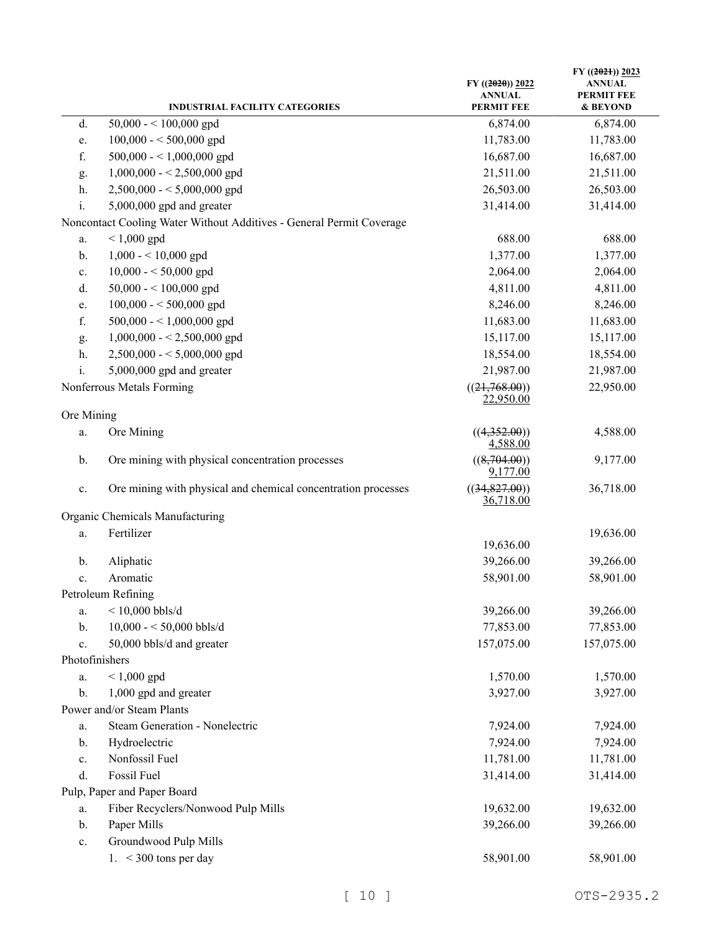|                | <b>INDUSTRIAL FACILITY CATEGORIES</b>                                | $FY$ ((2020)) 2022<br><b>ANNUAL</b><br><b>PERMIT FEE</b> | FY $((2021))$ 2023<br><b>ANNUAL</b><br><b>PERMIT FEE</b><br>& BEYOND |
|----------------|----------------------------------------------------------------------|----------------------------------------------------------|----------------------------------------------------------------------|
| d.             | $50,000 - 100,000$ gpd                                               | 6,874.00                                                 | 6,874.00                                                             |
| e.             | $100,000 - 500,000$ gpd                                              | 11,783.00                                                | 11,783.00                                                            |
| f.             | 500,000 - < 1,000,000 gpd                                            | 16,687.00                                                | 16,687.00                                                            |
| g.             | $1,000,000 - 2,500,000$ gpd                                          | 21,511.00                                                | 21,511.00                                                            |
| h.             | $2,500,000 - 5,000,000$ gpd                                          | 26,503.00                                                | 26,503.00                                                            |
| i.             | 5,000,000 gpd and greater                                            | 31,414.00                                                | 31,414.00                                                            |
|                | Noncontact Cooling Water Without Additives - General Permit Coverage |                                                          |                                                                      |
| a.             | $< 1,000$ gpd                                                        | 688.00                                                   | 688.00                                                               |
| b.             | $1,000 - 10,000$ gpd                                                 | 1,377.00                                                 | 1,377.00                                                             |
| c.             | $10,000 - 50,000$ gpd                                                | 2,064.00                                                 | 2,064.00                                                             |
| d.             | $50,000 - 100,000$ gpd                                               | 4,811.00                                                 | 4,811.00                                                             |
| e.             | $100,000 - 500,000$ gpd                                              | 8,246.00                                                 | 8,246.00                                                             |
| f.             | 500,000 - < 1,000,000 gpd                                            | 11,683.00                                                | 11,683.00                                                            |
| g.             | $1,000,000 - 2,500,000$ gpd                                          | 15,117.00                                                | 15,117.00                                                            |
| h.             | $2,500,000 - 5,000,000$ gpd                                          | 18,554.00                                                | 18,554.00                                                            |
| i.             | 5,000,000 gpd and greater                                            | 21,987.00                                                | 21,987.00                                                            |
|                | Nonferrous Metals Forming                                            | ((21,768.00))<br>22,950.00                               | 22,950.00                                                            |
| Ore Mining     |                                                                      |                                                          |                                                                      |
| a.             | Ore Mining                                                           | ((4,352.00))<br>4,588.00                                 | 4,588.00                                                             |
| b.             | Ore mining with physical concentration processes                     | ((8,704.00))<br>9,177.00                                 | 9,177.00                                                             |
| c.             | Ore mining with physical and chemical concentration processes        | ((34,827.00))<br><u>36,718.00</u>                        | 36,718.00                                                            |
|                | Organic Chemicals Manufacturing                                      |                                                          |                                                                      |
| a.             | Fertilizer                                                           |                                                          | 19,636.00                                                            |
|                |                                                                      | 19,636.00                                                |                                                                      |
| b.             | Aliphatic                                                            | 39,266.00                                                | 39,266.00                                                            |
| c.             | Aromatic                                                             | 58,901.00                                                | 58,901.00                                                            |
|                | Petroleum Refining                                                   |                                                          |                                                                      |
| a.             | $<$ 10,000 bbls/d                                                    | 39,266.00                                                | 39,266.00                                                            |
| b.             | 10,000 - < 50,000 bbls/d                                             | 77,853.00                                                | 77,853.00                                                            |
| c.             | 50,000 bbls/d and greater                                            | 157,075.00                                               | 157,075.00                                                           |
| Photofinishers |                                                                      |                                                          |                                                                      |
| a.             | $< 1,000$ gpd                                                        | 1,570.00                                                 | 1,570.00                                                             |
| b.             | 1,000 gpd and greater                                                | 3,927.00                                                 | 3,927.00                                                             |
|                | Power and/or Steam Plants                                            |                                                          |                                                                      |
| a.             | Steam Generation - Nonelectric                                       | 7,924.00                                                 | 7,924.00                                                             |
| b.             | Hydroelectric                                                        | 7,924.00                                                 | 7,924.00                                                             |
| c.             | Nonfossil Fuel                                                       | 11,781.00                                                | 11,781.00                                                            |
| d.             | Fossil Fuel                                                          | 31,414.00                                                | 31,414.00                                                            |
|                | Pulp, Paper and Paper Board                                          |                                                          |                                                                      |
| a.             | Fiber Recyclers/Nonwood Pulp Mills                                   | 19,632.00                                                | 19,632.00                                                            |
| b.             | Paper Mills                                                          | 39,266.00                                                | 39,266.00                                                            |
| c.             | Groundwood Pulp Mills                                                |                                                          |                                                                      |
|                | 1. $<$ 300 tons per day                                              | 58,901.00                                                | 58,901.00                                                            |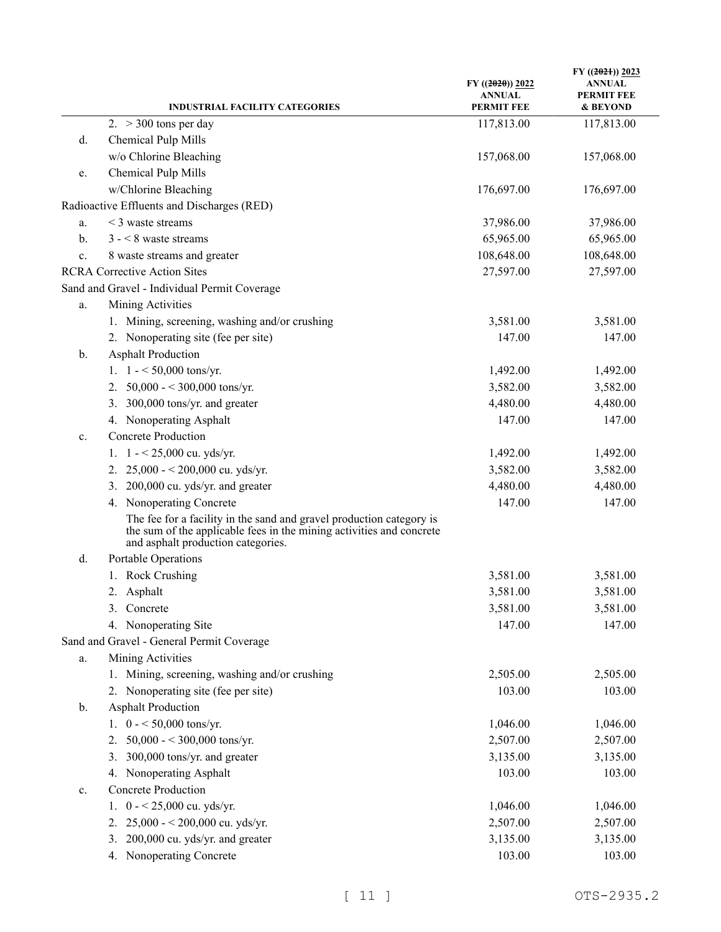| <b>INDUSTRIAL FACILITY CATEGORIES</b>                                                                                                                                              | $FY$ ((2020)) 2022<br><b>ANNUAL</b><br><b>PERMIT FEE</b> | FY $((2021))$ 2023<br><b>ANNUAL</b><br><b>PERMIT FEE</b><br>& BEYOND |
|------------------------------------------------------------------------------------------------------------------------------------------------------------------------------------|----------------------------------------------------------|----------------------------------------------------------------------|
| 2. $>$ 300 tons per day                                                                                                                                                            | 117,813.00                                               | 117,813.00                                                           |
| Chemical Pulp Mills<br>d.                                                                                                                                                          |                                                          |                                                                      |
| w/o Chlorine Bleaching                                                                                                                                                             | 157,068.00                                               | 157,068.00                                                           |
| Chemical Pulp Mills<br>e.                                                                                                                                                          |                                                          |                                                                      |
| w/Chlorine Bleaching                                                                                                                                                               | 176,697.00                                               | 176,697.00                                                           |
| Radioactive Effluents and Discharges (RED)                                                                                                                                         |                                                          |                                                                      |
| $<$ 3 waste streams<br>a.                                                                                                                                                          | 37,986.00                                                | 37,986.00                                                            |
| $3 - 8$ waste streams<br>b.                                                                                                                                                        | 65,965.00                                                | 65,965.00                                                            |
| 8 waste streams and greater<br>c.                                                                                                                                                  | 108,648.00                                               | 108,648.00                                                           |
| <b>RCRA Corrective Action Sites</b>                                                                                                                                                | 27,597.00                                                | 27,597.00                                                            |
| Sand and Gravel - Individual Permit Coverage                                                                                                                                       |                                                          |                                                                      |
| Mining Activities<br>a.                                                                                                                                                            |                                                          |                                                                      |
| 1. Mining, screening, washing and/or crushing                                                                                                                                      | 3,581.00                                                 | 3,581.00                                                             |
| 2. Nonoperating site (fee per site)                                                                                                                                                | 147.00                                                   | 147.00                                                               |
| <b>Asphalt Production</b><br>b.                                                                                                                                                    |                                                          |                                                                      |
| 1. $1 - 50,000$ tons/yr.                                                                                                                                                           | 1,492.00                                                 | 1,492.00                                                             |
| 50,000 - < 300,000 tons/yr.<br>2.                                                                                                                                                  | 3,582.00                                                 | 3,582.00                                                             |
| 300,000 tons/yr. and greater<br>3.                                                                                                                                                 | 4,480.00                                                 | 4,480.00                                                             |
| 4. Nonoperating Asphalt                                                                                                                                                            | 147.00                                                   | 147.00                                                               |
| <b>Concrete Production</b><br>c.                                                                                                                                                   |                                                          |                                                                      |
| $1 - 25,000$ cu. yds/yr.<br>1.                                                                                                                                                     | 1,492.00                                                 | 1,492.00                                                             |
| $25,000 - 200,000$ cu. yds/yr.<br>2.                                                                                                                                               | 3,582.00                                                 | 3,582.00                                                             |
| 200,000 cu. yds/yr. and greater<br>3.                                                                                                                                              | 4,480.00                                                 | 4,480.00                                                             |
| 4. Nonoperating Concrete                                                                                                                                                           | 147.00                                                   | 147.00                                                               |
| The fee for a facility in the sand and gravel production category is<br>the sum of the applicable fees in the mining activities and concrete<br>and asphalt production categories. |                                                          |                                                                      |
| Portable Operations<br>d.                                                                                                                                                          |                                                          |                                                                      |
| 1. Rock Crushing                                                                                                                                                                   | 3,581.00                                                 | 3,581.00                                                             |
| 2. Asphalt                                                                                                                                                                         | 3,581.00                                                 | 3,581.00                                                             |
| 3. Concrete                                                                                                                                                                        | 3,581.00                                                 | 3,581.00                                                             |
| 4. Nonoperating Site                                                                                                                                                               | 147.00                                                   | 147.00                                                               |
| Sand and Gravel - General Permit Coverage                                                                                                                                          |                                                          |                                                                      |
| Mining Activities<br>a.                                                                                                                                                            |                                                          |                                                                      |
| 1. Mining, screening, washing and/or crushing                                                                                                                                      | 2,505.00                                                 | 2,505.00                                                             |
| 2. Nonoperating site (fee per site)                                                                                                                                                | 103.00                                                   | 103.00                                                               |
| <b>Asphalt Production</b><br>b.                                                                                                                                                    |                                                          |                                                                      |
| 1. $0 - 50,000$ tons/yr.                                                                                                                                                           | 1,046.00                                                 | 1,046.00                                                             |
| 50,000 - < 300,000 tons/yr.<br>2.                                                                                                                                                  | 2,507.00                                                 | 2,507.00                                                             |
| 300,000 tons/yr. and greater<br>3.                                                                                                                                                 | 3,135.00                                                 | 3,135.00                                                             |
| 4. Nonoperating Asphalt                                                                                                                                                            | 103.00                                                   | 103.00                                                               |
| <b>Concrete Production</b><br>c.                                                                                                                                                   |                                                          |                                                                      |
| $0 - 25,000$ cu. yds/yr.<br>1.                                                                                                                                                     | 1,046.00                                                 | 1,046.00                                                             |
| 25,000 - < 200,000 cu. yds/yr.<br>2.                                                                                                                                               | 2,507.00                                                 | 2,507.00                                                             |
| 200,000 cu. yds/yr. and greater<br>3.                                                                                                                                              | 3,135.00                                                 | 3,135.00                                                             |
| 4. Nonoperating Concrete                                                                                                                                                           | 103.00                                                   | 103.00                                                               |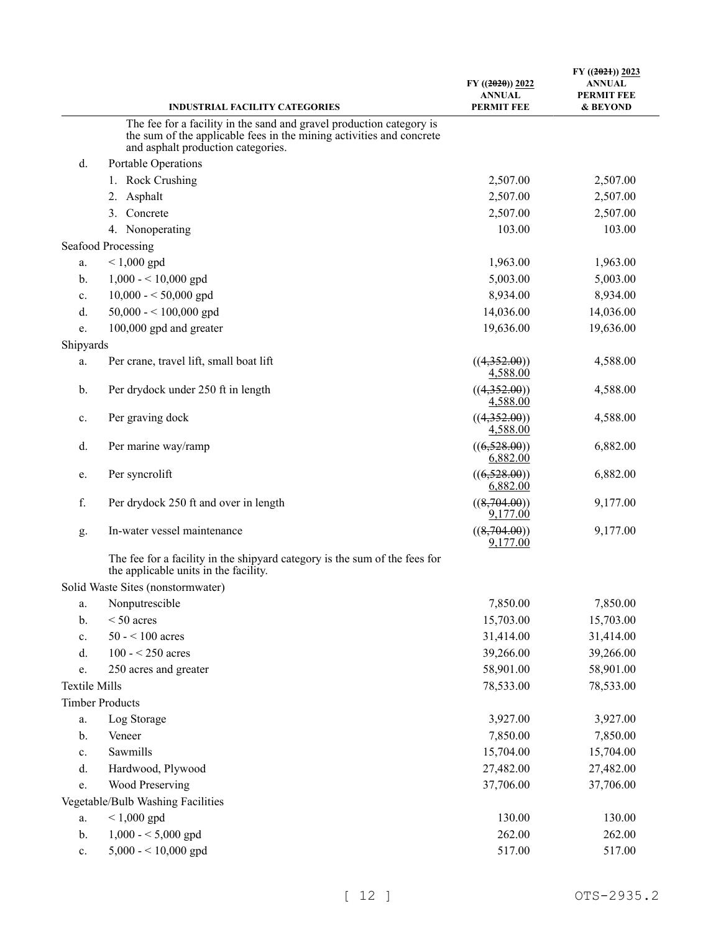|                      | <b>INDUSTRIAL FACILITY CATEGORIES</b>                                                                               | $FY$ ((2020)) 2022<br><b>ANNUAL</b><br><b>PERMIT FEE</b> | $FY$ ((2021)) 2023<br><b>ANNUAL</b><br><b>PERMIT FEE</b><br>& BEYOND |
|----------------------|---------------------------------------------------------------------------------------------------------------------|----------------------------------------------------------|----------------------------------------------------------------------|
|                      | The fee for a facility in the sand and gravel production category is                                                |                                                          |                                                                      |
|                      | the sum of the applicable fees in the mining activities and concrete<br>and asphalt production categories.          |                                                          |                                                                      |
| d.                   | Portable Operations                                                                                                 |                                                          |                                                                      |
|                      | 1. Rock Crushing                                                                                                    | 2,507.00                                                 | 2,507.00                                                             |
|                      | Asphalt<br>2.                                                                                                       | 2,507.00                                                 | 2,507.00                                                             |
|                      | Concrete<br>3.                                                                                                      | 2,507.00                                                 | 2,507.00                                                             |
|                      | 4. Nonoperating                                                                                                     | 103.00                                                   | 103.00                                                               |
|                      | Seafood Processing                                                                                                  |                                                          |                                                                      |
| a.                   | $< 1,000$ gpd                                                                                                       | 1,963.00                                                 | 1,963.00                                                             |
| b.                   | $1,000 - 10,000$ gpd                                                                                                | 5,003.00                                                 | 5,003.00                                                             |
| c.                   | $10,000 - 50,000$ gpd                                                                                               | 8,934.00                                                 | 8,934.00                                                             |
| d.                   | $50,000 - 100,000$ gpd                                                                                              | 14,036.00                                                | 14,036.00                                                            |
| e.                   | 100,000 gpd and greater                                                                                             | 19,636.00                                                | 19,636.00                                                            |
| Shipyards            |                                                                                                                     |                                                          |                                                                      |
| a.                   | Per crane, travel lift, small boat lift                                                                             | ((4,352.00))<br>4,588.00                                 | 4,588.00                                                             |
| b.                   | Per drydock under 250 ft in length                                                                                  | ((4,352.00))<br>4,588.00                                 | 4,588.00                                                             |
| c.                   | Per graving dock                                                                                                    | ((4,352.00))<br>4,588.00                                 | 4,588.00                                                             |
| d.                   | Per marine way/ramp                                                                                                 | ((6,528.00))<br>6,882.00                                 | 6,882.00                                                             |
| e.                   | Per syncrolift                                                                                                      | ((6,528.00))<br>6,882.00                                 | 6,882.00                                                             |
| f.                   | Per drydock 250 ft and over in length                                                                               | ((8,704.00))<br>9,177.00                                 | 9,177.00                                                             |
| g.                   | In-water vessel maintenance                                                                                         | ((8,704.00))<br>9,177.00                                 | 9,177.00                                                             |
|                      | The fee for a facility in the shipyard category is the sum of the fees for<br>the applicable units in the facility. |                                                          |                                                                      |
|                      | Solid Waste Sites (nonstormwater)                                                                                   |                                                          |                                                                      |
| a.                   | Nonputrescible                                                                                                      | 7,850.00                                                 | 7,850.00                                                             |
| $b$ .                | $< 50$ acres                                                                                                        | 15,703.00                                                | 15,703.00                                                            |
| c.                   | $50 - 100$ acres                                                                                                    | 31,414.00                                                | 31,414.00                                                            |
| d.                   | $100 - 250$ acres                                                                                                   | 39,266.00                                                | 39,266.00                                                            |
| e.                   | 250 acres and greater                                                                                               | 58,901.00                                                | 58,901.00                                                            |
| <b>Textile Mills</b> |                                                                                                                     | 78,533.00                                                | 78,533.00                                                            |
|                      | <b>Timber Products</b>                                                                                              |                                                          |                                                                      |
| a.                   | Log Storage                                                                                                         | 3,927.00                                                 | 3,927.00                                                             |
| b.                   | Veneer                                                                                                              | 7,850.00                                                 | 7,850.00                                                             |
| c.                   | Sawmills                                                                                                            | 15,704.00                                                | 15,704.00                                                            |
| d.                   | Hardwood, Plywood                                                                                                   | 27,482.00                                                | 27,482.00                                                            |
| e.                   | Wood Preserving                                                                                                     | 37,706.00                                                | 37,706.00                                                            |
|                      | Vegetable/Bulb Washing Facilities                                                                                   |                                                          |                                                                      |
| a.                   | $< 1,000$ gpd                                                                                                       | 130.00                                                   | 130.00                                                               |
| b.                   | $1,000 - 5,000$ gpd                                                                                                 | 262.00                                                   | 262.00                                                               |
| $\mathbf{c}.$        | $5,000 - 10,000$ gpd                                                                                                | 517.00                                                   | 517.00                                                               |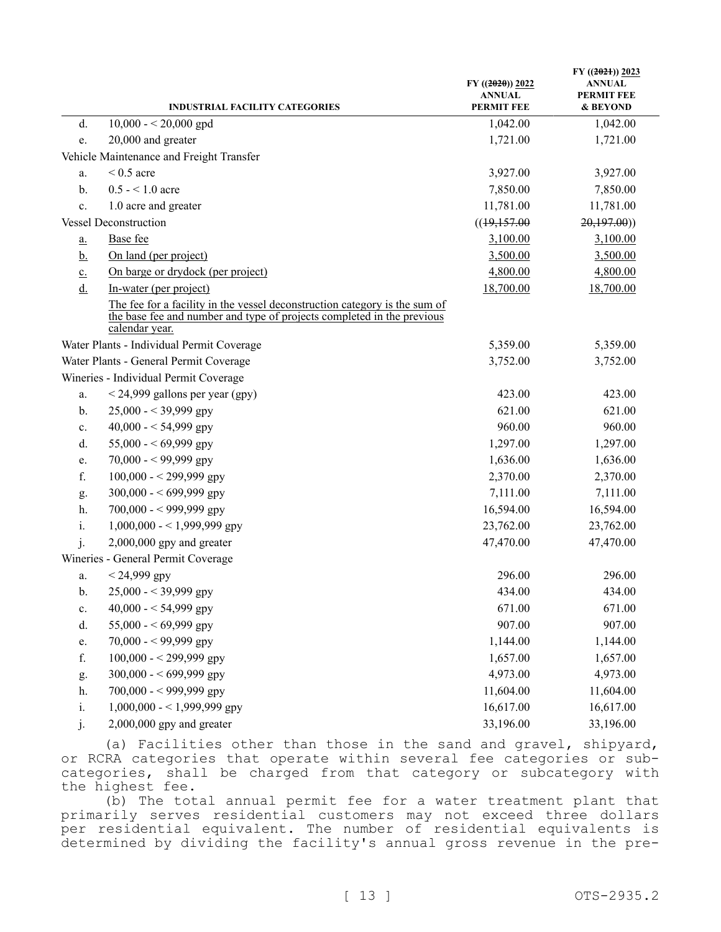|                   | <b>INDUSTRIAL FACILITY CATEGORIES</b>                                                                                                                                  | $FY$ ((2020)) 2022<br><b>ANNUAL</b><br><b>PERMIT FEE</b> | FY $((2021))$ 2023<br>ANNUAL<br><b>PERMIT FEE</b><br>& BEYOND |
|-------------------|------------------------------------------------------------------------------------------------------------------------------------------------------------------------|----------------------------------------------------------|---------------------------------------------------------------|
| d.                | $10,000 - 20,000$ gpd                                                                                                                                                  | 1,042.00                                                 | 1,042.00                                                      |
| e.                | 20,000 and greater                                                                                                                                                     | 1,721.00                                                 | 1,721.00                                                      |
|                   | Vehicle Maintenance and Freight Transfer                                                                                                                               |                                                          |                                                               |
| a.                | $< 0.5$ acre                                                                                                                                                           | 3,927.00                                                 | 3,927.00                                                      |
| b.                | $0.5 - 1.0$ acre                                                                                                                                                       | 7,850.00                                                 | 7,850.00                                                      |
| c.                | 1.0 acre and greater                                                                                                                                                   | 11,781.00                                                | 11,781.00                                                     |
|                   | <b>Vessel Deconstruction</b>                                                                                                                                           | ((19,157.00)                                             | 20,197.00)                                                    |
| $\underline{a}$ . | Base fee                                                                                                                                                               | 3,100.00                                                 | 3,100.00                                                      |
| <u>b.</u>         | On land (per project)                                                                                                                                                  | 3,500.00                                                 | 3,500.00                                                      |
| $\underline{c}$ . | On barge or drydock (per project)                                                                                                                                      | 4,800.00                                                 | 4,800.00                                                      |
| $\underline{d}$ . | In-water (per project)                                                                                                                                                 | 18,700.00                                                | 18,700.00                                                     |
|                   | The fee for a facility in the vessel deconstruction category is the sum of<br>the base fee and number and type of projects completed in the previous<br>calendar year. |                                                          |                                                               |
|                   | Water Plants - Individual Permit Coverage                                                                                                                              | 5,359.00                                                 | 5,359.00                                                      |
|                   | Water Plants - General Permit Coverage                                                                                                                                 | 3,752.00                                                 | 3,752.00                                                      |
|                   | Wineries - Individual Permit Coverage                                                                                                                                  |                                                          |                                                               |
| a.                | $<$ 24,999 gallons per year (gpy)                                                                                                                                      | 423.00                                                   | 423.00                                                        |
| $\mathbf{b}$ .    | $25,000 - 39,999$ gpy                                                                                                                                                  | 621.00                                                   | 621.00                                                        |
| c.                | 40,000 - < 54,999 gpy                                                                                                                                                  | 960.00                                                   | 960.00                                                        |
| d.                | 55,000 - < 69,999 gpy                                                                                                                                                  | 1,297.00                                                 | 1,297.00                                                      |
| e.                | $70,000 - 99,999$ gpy                                                                                                                                                  | 1,636.00                                                 | 1,636.00                                                      |
| f.                | $100,000 - 299,999$ gpy                                                                                                                                                | 2,370.00                                                 | 2,370.00                                                      |
| g.                | 300,000 - < 699,999 gpy                                                                                                                                                | 7,111.00                                                 | 7,111.00                                                      |
| h.                | $700,000 - 999,999$ gpy                                                                                                                                                | 16,594.00                                                | 16,594.00                                                     |
| i.                | $1,000,000 - 1,999,999$ gpy                                                                                                                                            | 23,762.00                                                | 23,762.00                                                     |
| j.                | $2,000,000$ gpy and greater                                                                                                                                            | 47,470.00                                                | 47,470.00                                                     |
|                   | Wineries - General Permit Coverage                                                                                                                                     |                                                          |                                                               |
| a.                | $< 24,999$ gpy                                                                                                                                                         | 296.00                                                   | 296.00                                                        |
| b.                | $25,000 - 39,999$ gpy                                                                                                                                                  | 434.00                                                   | 434.00                                                        |
| c.                | 40,000 - < 54,999 gpy                                                                                                                                                  | 671.00                                                   | 671.00                                                        |
| d.                | 55,000 - < 69,999 gpy                                                                                                                                                  | 907.00                                                   | 907.00                                                        |
| e.                | $70,000 - 99,999$ gpy                                                                                                                                                  | 1,144.00                                                 | 1,144.00                                                      |
| f.                | $100,000 - 299,999$ gpy                                                                                                                                                | 1,657.00                                                 | 1,657.00                                                      |
| g.                | 300,000 - < 699,999 gpy                                                                                                                                                | 4,973.00                                                 | 4,973.00                                                      |
| h.                | 700,000 - < 999,999 gpy                                                                                                                                                | 11,604.00                                                | 11,604.00                                                     |
| i.                | $1,000,000 - 1,999,999$ gpy                                                                                                                                            | 16,617.00                                                | 16,617.00                                                     |
| 1.                | $2,000,000$ gpy and greater                                                                                                                                            | 33,196.00                                                | 33,196.00                                                     |

(a) Facilities other than those in the sand and gravel, shipyard, or RCRA categories that operate within several fee categories or subcategories, shall be charged from that category or subcategory with the highest fee.

(b) The total annual permit fee for a water treatment plant that primarily serves residential customers may not exceed three dollars per residential equivalent. The number of residential equivalents is determined by dividing the facility's annual gross revenue in the pre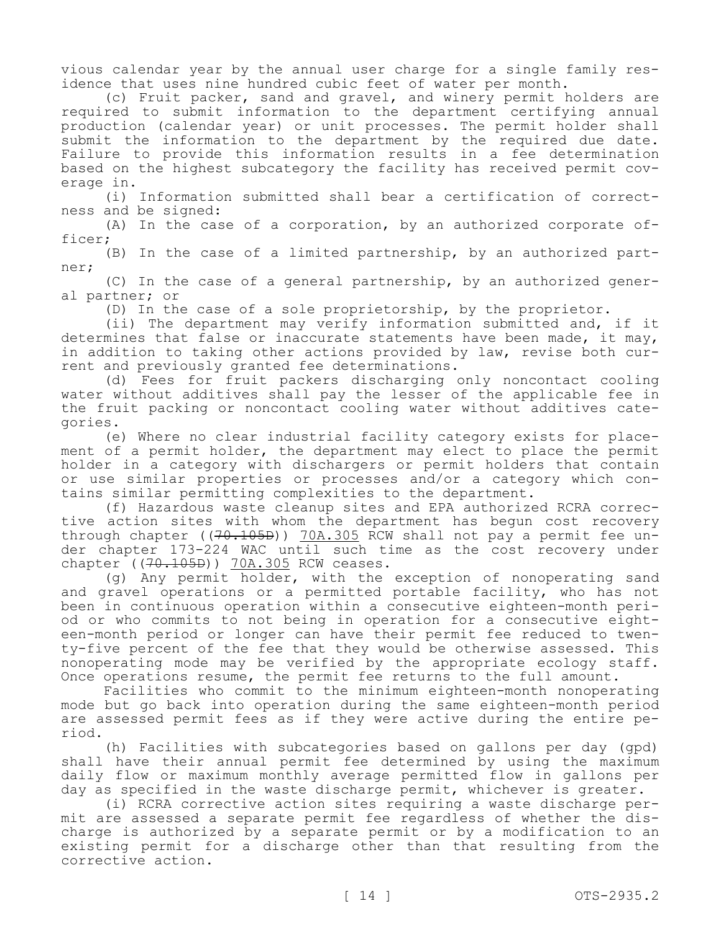vious calendar year by the annual user charge for a single family residence that uses nine hundred cubic feet of water per month.

(c) Fruit packer, sand and gravel, and winery permit holders are required to submit information to the department certifying annual production (calendar year) or unit processes. The permit holder shall submit the information to the department by the required due date. Failure to provide this information results in a fee determination based on the highest subcategory the facility has received permit coverage in.

(i) Information submitted shall bear a certification of correctness and be signed:

(A) In the case of a corporation, by an authorized corporate officer;

(B) In the case of a limited partnership, by an authorized partner;

(C) In the case of a general partnership, by an authorized general partner; or

(D) In the case of a sole proprietorship, by the proprietor.

(ii) The department may verify information submitted and, if it determines that false or inaccurate statements have been made, it may, in addition to taking other actions provided by law, revise both current and previously granted fee determinations.

(d) Fees for fruit packers discharging only noncontact cooling water without additives shall pay the lesser of the applicable fee in the fruit packing or noncontact cooling water without additives categories.

(e) Where no clear industrial facility category exists for placement of a permit holder, the department may elect to place the permit holder in a category with dischargers or permit holders that contain or use similar properties or processes and/or a category which contains similar permitting complexities to the department.

(f) Hazardous waste cleanup sites and EPA authorized RCRA corrective action sites with whom the department has begun cost recovery through chapter ((70.105B)) 70A.305 RCW shall not pay a permit fee under chapter 173-224 WAC until such time as the cost recovery under chapter ((70.105B)) 70A.305 RCW ceases.

(g) Any permit holder, with the exception of nonoperating sand and gravel operations or a permitted portable facility, who has not been in continuous operation within a consecutive eighteen-month period or who commits to not being in operation for a consecutive eighteen-month period or longer can have their permit fee reduced to twenty-five percent of the fee that they would be otherwise assessed. This nonoperating mode may be verified by the appropriate ecology staff. Once operations resume, the permit fee returns to the full amount.

Facilities who commit to the minimum eighteen-month nonoperating mode but go back into operation during the same eighteen-month period are assessed permit fees as if they were active during the entire period.

(h) Facilities with subcategories based on gallons per day (gpd) shall have their annual permit fee determined by using the maximum daily flow or maximum monthly average permitted flow in gallons per day as specified in the waste discharge permit, whichever is greater.

(i) RCRA corrective action sites requiring a waste discharge permit are assessed a separate permit fee regardless of whether the discharge is authorized by a separate permit or by a modification to an existing permit for a discharge other than that resulting from the corrective action.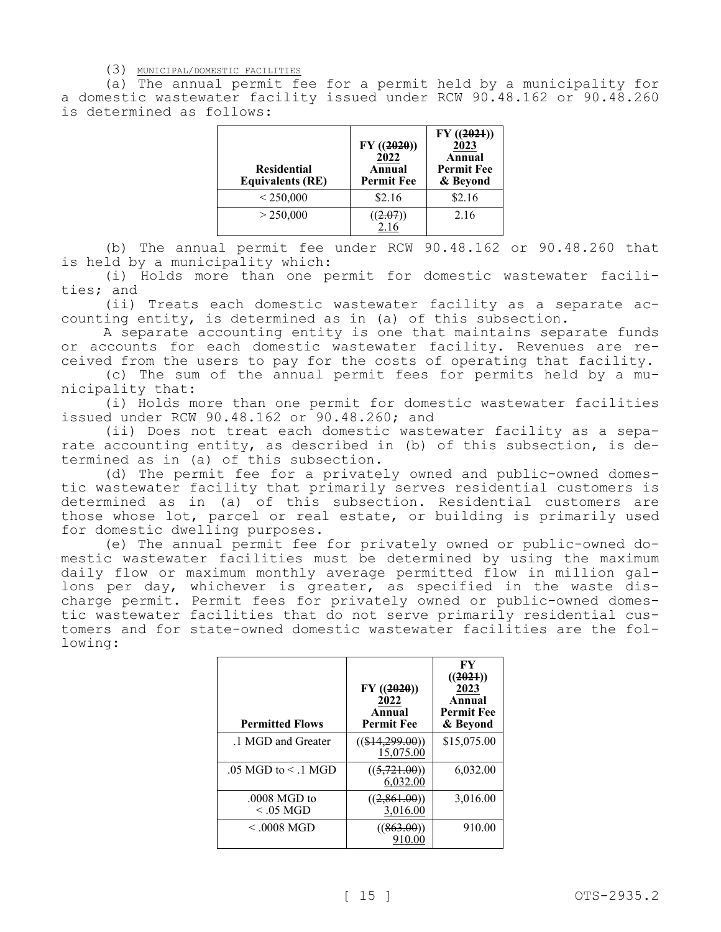(3) MUNICIPAL/DOMESTIC FACILITIES

(a) The annual permit fee for a permit held by a municipality for a domestic wastewater facility issued under RCW 90.48.162 or 90.48.260 is determined as follows:

| <b>Residential</b><br><b>Equivalents (RE)</b> | $FY$ ((2020))<br>2022<br>Annual<br><b>Permit Fee</b> | $FY$ ((2021))<br>2023<br>Annual<br><b>Permit Fee</b><br>& Beyond |
|-----------------------------------------------|------------------------------------------------------|------------------------------------------------------------------|
| < 250,000                                     | \$2.16                                               | \$2.16                                                           |
| > 250,000                                     |                                                      | 2.16                                                             |

(b) The annual permit fee under RCW 90.48.162 or 90.48.260 that is held by a municipality which:

(i) Holds more than one permit for domestic wastewater facilities; and

(ii) Treats each domestic wastewater facility as a separate accounting entity, is determined as in (a) of this subsection.

A separate accounting entity is one that maintains separate funds or accounts for each domestic wastewater facility. Revenues are received from the users to pay for the costs of operating that facility.

(c) The sum of the annual permit fees for permits held by a municipality that:

(i) Holds more than one permit for domestic wastewater facilities issued under RCW 90.48.162 or 90.48.260; and

(ii) Does not treat each domestic wastewater facility as a separate accounting entity, as described in (b) of this subsection, is determined as in (a) of this subsection.

(d) The permit fee for a privately owned and public-owned domestic wastewater facility that primarily serves residential customers is determined as in (a) of this subsection. Residential customers are those whose lot, parcel or real estate, or building is primarily used for domestic dwelling purposes.

(e) The annual permit fee for privately owned or public-owned domestic wastewater facilities must be determined by using the maximum daily flow or maximum monthly average permitted flow in million gallons per day, whichever is greater, as specified in the waste discharge permit. Permit fees for privately owned or public-owned domestic wastewater facilities that do not serve primarily residential customers and for state-owned domestic wastewater facilities are the following:

| <b>Permitted Flows</b>         | FY(2020)<br>2022<br>Annual<br><b>Permit Fee</b> | FY<br>((2021))<br>2023<br>Annual<br><b>Permit Fee</b><br>& Beyond |
|--------------------------------|-------------------------------------------------|-------------------------------------------------------------------|
| .1 MGD and Greater             | $((\$14,299.00))$<br>15,075.00                  | \$15,075.00                                                       |
| $.05$ MGD to $\leq$ 1 MGD      | ((5, 721.00))<br>6,032.00                       | 6,032.00                                                          |
| $.0008$ MGD to<br>$< 0.05$ MGD | ((2, 861.00))<br>3,016.00                       | 3,016.00                                                          |
| $<$ .0008 MGD                  | ((863.00))<br>910.00                            | 910.00                                                            |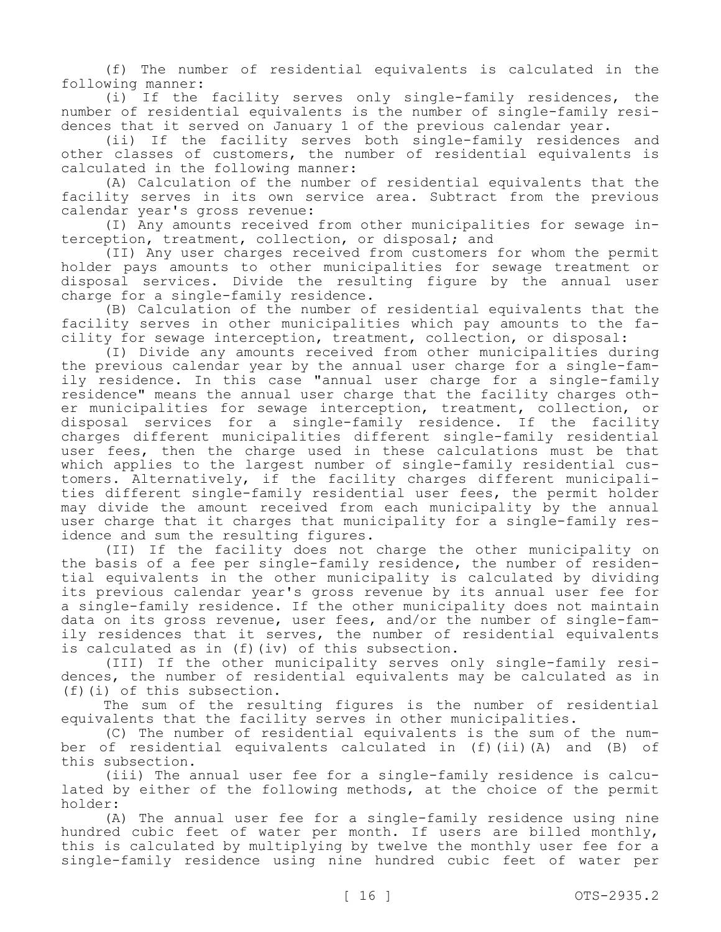(f) The number of residential equivalents is calculated in the following manner:

(i) If the facility serves only single-family residences, the number of residential equivalents is the number of single-family residences that it served on January 1 of the previous calendar year.

(ii) If the facility serves both single-family residences and other classes of customers, the number of residential equivalents is calculated in the following manner:

(A) Calculation of the number of residential equivalents that the facility serves in its own service area. Subtract from the previous calendar year's gross revenue:

(I) Any amounts received from other municipalities for sewage interception, treatment, collection, or disposal; and

(II) Any user charges received from customers for whom the permit holder pays amounts to other municipalities for sewage treatment or disposal services. Divide the resulting figure by the annual user charge for a single-family residence.

(B) Calculation of the number of residential equivalents that the facility serves in other municipalities which pay amounts to the facility for sewage interception, treatment, collection, or disposal:

(I) Divide any amounts received from other municipalities during the previous calendar year by the annual user charge for a single-family residence. In this case "annual user charge for a single-family residence" means the annual user charge that the facility charges other municipalities for sewage interception, treatment, collection, or disposal services for a single-family residence. If the facility charges different municipalities different single-family residential user fees, then the charge used in these calculations must be that which applies to the largest number of single-family residential customers. Alternatively, if the facility charges different municipalities different single-family residential user fees, the permit holder may divide the amount received from each municipality by the annual user charge that it charges that municipality for a single-family residence and sum the resulting figures.

(II) If the facility does not charge the other municipality on the basis of a fee per single-family residence, the number of residential equivalents in the other municipality is calculated by dividing its previous calendar year's gross revenue by its annual user fee for a single-family residence. If the other municipality does not maintain data on its gross revenue, user fees, and/or the number of single-family residences that it serves, the number of residential equivalents is calculated as in (f)(iv) of this subsection.

(III) If the other municipality serves only single-family residences, the number of residential equivalents may be calculated as in (f)(i) of this subsection.

The sum of the resulting figures is the number of residential equivalents that the facility serves in other municipalities.

(C) The number of residential equivalents is the sum of the number of residential equivalents calculated in (f)(ii)(A) and (B) of this subsection.

(iii) The annual user fee for a single-family residence is calculated by either of the following methods, at the choice of the permit holder:

(A) The annual user fee for a single-family residence using nine hundred cubic feet of water per month. If users are billed monthly, this is calculated by multiplying by twelve the monthly user fee for a single-family residence using nine hundred cubic feet of water per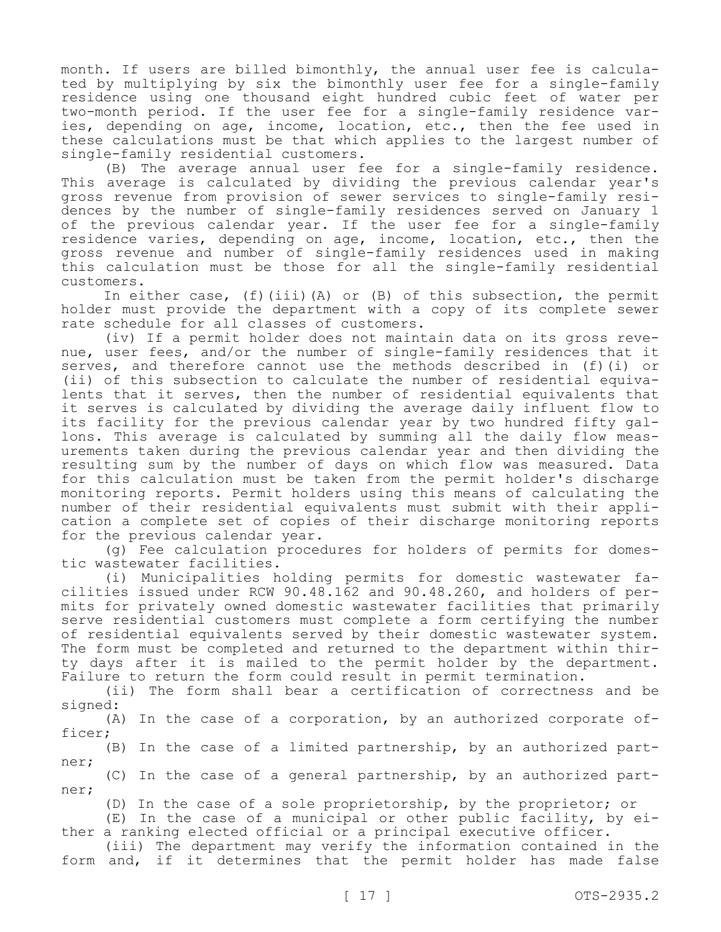month. If users are billed bimonthly, the annual user fee is calculated by multiplying by six the bimonthly user fee for a single-family residence using one thousand eight hundred cubic feet of water per two-month period. If the user fee for a single-family residence varies, depending on age, income, location, etc., then the fee used in these calculations must be that which applies to the largest number of single-family residential customers.

(B) The average annual user fee for a single-family residence. This average is calculated by dividing the previous calendar year's gross revenue from provision of sewer services to single-family residences by the number of single-family residences served on January 1 of the previous calendar year. If the user fee for a single-family residence varies, depending on age, income, location, etc., then the gross revenue and number of single-family residences used in making this calculation must be those for all the single-family residential customers.

In either case, (f)(iii)(A) or (B) of this subsection, the permit holder must provide the department with a copy of its complete sewer rate schedule for all classes of customers.

(iv) If a permit holder does not maintain data on its gross revenue, user fees, and/or the number of single-family residences that it serves, and therefore cannot use the methods described in (f)(i) or (ii) of this subsection to calculate the number of residential equivalents that it serves, then the number of residential equivalents that it serves is calculated by dividing the average daily influent flow to its facility for the previous calendar year by two hundred fifty gallons. This average is calculated by summing all the daily flow measurements taken during the previous calendar year and then dividing the resulting sum by the number of days on which flow was measured. Data for this calculation must be taken from the permit holder's discharge monitoring reports. Permit holders using this means of calculating the number of their residential equivalents must submit with their application a complete set of copies of their discharge monitoring reports for the previous calendar year.

(g) Fee calculation procedures for holders of permits for domestic wastewater facilities.

(i) Municipalities holding permits for domestic wastewater facilities issued under RCW 90.48.162 and 90.48.260, and holders of permits for privately owned domestic wastewater facilities that primarily serve residential customers must complete a form certifying the number of residential equivalents served by their domestic wastewater system. The form must be completed and returned to the department within thirty days after it is mailed to the permit holder by the department. Failure to return the form could result in permit termination.

(ii) The form shall bear a certification of correctness and be signed:

(A) In the case of a corporation, by an authorized corporate officer;

(B) In the case of a limited partnership, by an authorized partner;

(C) In the case of a general partnership, by an authorized partner;

(D) In the case of a sole proprietorship, by the proprietor; or

(E) In the case of a municipal or other public facility, by either a ranking elected official or a principal executive officer.

(iii) The department may verify the information contained in the form and, if it determines that the permit holder has made false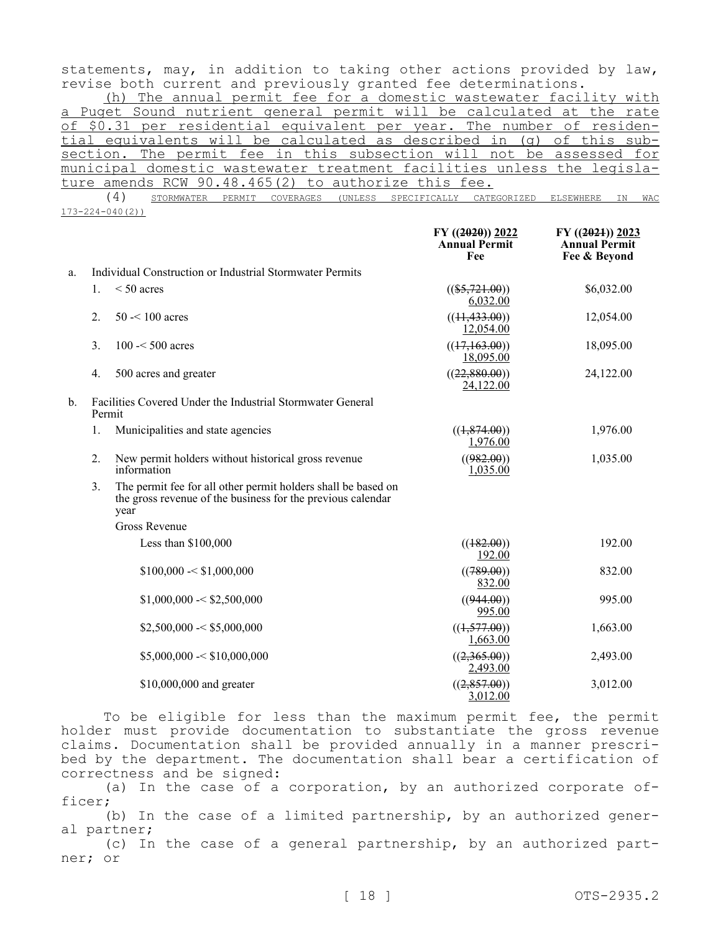statements, may, in addition to taking other actions provided by law, revise both current and previously granted fee determinations.

(h) The annual permit fee for a domestic wastewater facility with a Puget Sound nutrient general permit will be calculated at the rate of \$0.31 per residential equivalent per year. The number of residential equivalents will be calculated as described in (g) of this subsection. The permit fee in this subsection will not be assessed for municipal domestic wastewater treatment facilities unless the legislature amends RCW 90.48.465(2) to authorize this fee.

(4) STORMWATER PERMIT COVERAGES (UNLESS SPECIFICALLY CATEGORIZED ELSEWHERE IN WAC 173-224-040(2))

|    |                                                                      |                                                                                                                                      | $FY$ ((2020)) 2022<br><b>Annual Permit</b><br>Fee | $FY$ ((2021)) 2023<br><b>Annual Permit</b><br>Fee & Beyond |
|----|----------------------------------------------------------------------|--------------------------------------------------------------------------------------------------------------------------------------|---------------------------------------------------|------------------------------------------------------------|
| a. |                                                                      | Individual Construction or Industrial Stormwater Permits                                                                             |                                                   |                                                            |
|    | 1.                                                                   | $< 50$ acres                                                                                                                         | $((\$5,721.00))$<br>6,032.00                      | \$6,032.00                                                 |
|    | 2.                                                                   | $50 < 100$ acres                                                                                                                     | ((11, 433.00))<br>12,054.00                       | 12,054.00                                                  |
|    | 3.                                                                   | $100 - 500$ acres                                                                                                                    | ((17,163.00))<br>18,095.00                        | 18,095.00                                                  |
|    | 4.                                                                   | 500 acres and greater                                                                                                                | ((22,880.00))<br>24,122.00                        | 24,122.00                                                  |
| b. | Facilities Covered Under the Industrial Stormwater General<br>Permit |                                                                                                                                      |                                                   |                                                            |
|    | 1.                                                                   | Municipalities and state agencies                                                                                                    | ((1,874.00))<br>1,976.00                          | 1,976.00                                                   |
|    | 2.                                                                   | New permit holders without historical gross revenue<br>information                                                                   | ((982.00))<br>1,035.00                            | 1,035.00                                                   |
|    | 3.                                                                   | The permit fee for all other permit holders shall be based on<br>the gross revenue of the business for the previous calendar<br>year |                                                   |                                                            |
|    |                                                                      | <b>Gross Revenue</b>                                                                                                                 |                                                   |                                                            |
|    |                                                                      | Less than \$100,000                                                                                                                  | ((182.00))<br>192.00                              | 192.00                                                     |
|    |                                                                      | \$100,000 < \$1,000,000                                                                                                              | ((789.00))<br>832.00                              | 832.00                                                     |
|    |                                                                      | \$1,000,000 < \$2,500,000                                                                                                            | ((944.00))<br>995.00                              | 995.00                                                     |
|    |                                                                      | \$2,500,000 < \$5,000,000                                                                                                            | ((1,577.00))<br>1,663.00                          | 1,663.00                                                   |
|    |                                                                      | \$5,000,000 < \$10,000,000                                                                                                           | ((2,365.00))<br>2,493.00                          | 2,493.00                                                   |
|    |                                                                      | \$10,000,000 and greater                                                                                                             | ((2, 857.00))<br>3,012.00                         | 3,012.00                                                   |

To be eligible for less than the maximum permit fee, the permit holder must provide documentation to substantiate the gross revenue claims. Documentation shall be provided annually in a manner prescribed by the department. The documentation shall bear a certification of correctness and be signed:

(a) In the case of a corporation, by an authorized corporate officer;

(b) In the case of a limited partnership, by an authorized general partner;

(c) In the case of a general partnership, by an authorized partner; or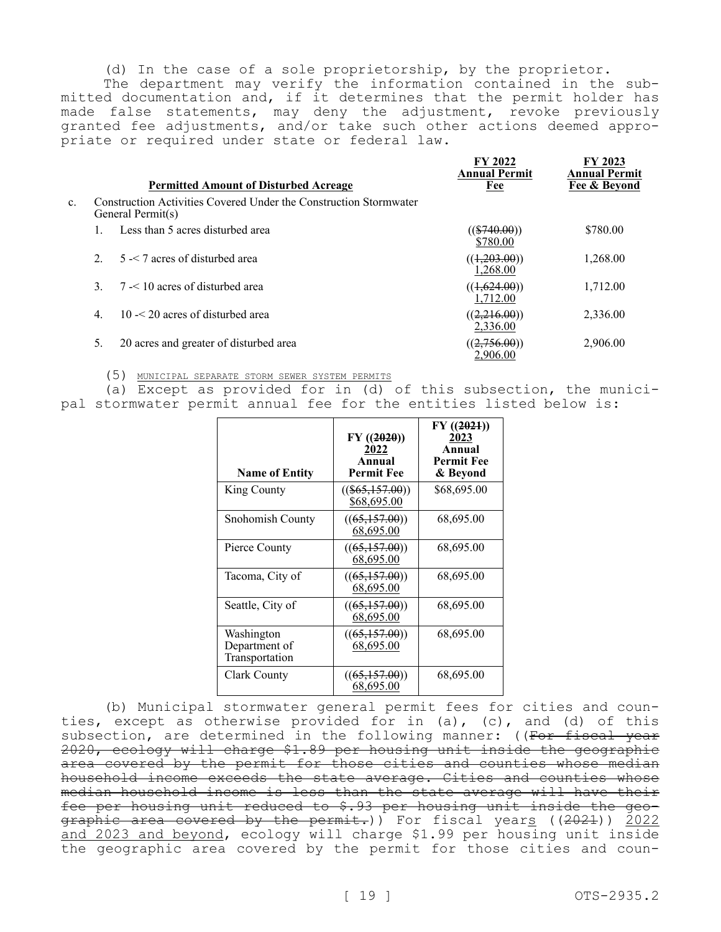(d) In the case of a sole proprietorship, by the proprietor.

The department may verify the information contained in the submitted documentation and, if it determines that the permit holder has made false statements, may deny the adjustment, revoke previously granted fee adjustments, and/or take such other actions deemed appropriate or required under state or federal law.

|    |                  | <b>Permitted Amount of Disturbed Acreage</b>                                           | FY 2022<br><b>Annual Permit</b><br>Fee | FY 2023<br><b>Annual Permit</b><br>Fee & Bevond |
|----|------------------|----------------------------------------------------------------------------------------|----------------------------------------|-------------------------------------------------|
| c. |                  | Construction Activities Covered Under the Construction Stormwater<br>General Permit(s) |                                        |                                                 |
|    |                  | Less than 5 acres disturbed area                                                       | $((\$740.00))$<br>\$780.00             | \$780.00                                        |
|    | $\mathcal{L}$    | $5 - 7$ acres of disturbed area                                                        | ((1,203.00))<br>1.268.00               | 1,268.00                                        |
|    |                  | $7 < 10$ acres of disturbed area                                                       | ((1,624.00))<br>1.712.00               | 1,712.00                                        |
|    | $\overline{4}$ . | $10 < 20$ acres of disturbed area                                                      | ((2,216.00))<br>2,336.00               | 2,336.00                                        |
|    | 5.               | 20 acres and greater of disturbed area                                                 | ((2,756.00))<br>2.906.00               | 2,906.00                                        |

(5) MUNICIPAL SEPARATE STORM SEWER SYSTEM PERMITS

(a) Except as provided for in (d) of this subsection, the municipal stormwater permit annual fee for the entities listed below is:

| <b>Name of Entity</b>                         | $FY$ ((2020))<br>2022<br>Annual<br><b>Permit Fee</b> | FY(2021)<br>2023<br>Annual<br><b>Permit Fee</b><br>& Beyond |
|-----------------------------------------------|------------------------------------------------------|-------------------------------------------------------------|
| King County                                   | $((\$65,157.00))$<br>\$68,695.00                     | \$68,695.00                                                 |
| Snohomish County                              | ((65,157.00))<br>68,695.00                           | 68,695.00                                                   |
| Pierce County                                 | ((65,157.00))<br>68,695.00                           | 68,695.00                                                   |
| Tacoma, City of                               | ((65,157.00))<br>68,695.00                           | 68,695.00                                                   |
| Seattle, City of                              | ((65,157.00))<br>68,695.00                           | 68,695.00                                                   |
| Washington<br>Department of<br>Transportation | ((65,157.00))<br>68,695.00                           | 68,695.00                                                   |
| Clark County                                  | ((65,157.00))<br>68,695.00                           | 68,695.00                                                   |

(b) Municipal stormwater general permit fees for cities and counties, except as otherwise provided for in (a), (c), and (d) of this subsection, are determined in the following manner: ((For fiscal year 2020, ecology will charge \$1.89 per housing unit inside the geographic area covered by the permit for those cities and counties whose median household income exceeds the state average. Cities and counties whose median household income is less than the state average will have their fee per housing unit reduced to \$.93 per housing unit inside the geographic area covered by the permit.)) For fiscal years ((2021)) 2022 and 2023 and beyond, ecology will charge \$1.99 per housing unit inside the geographic area covered by the permit for those cities and coun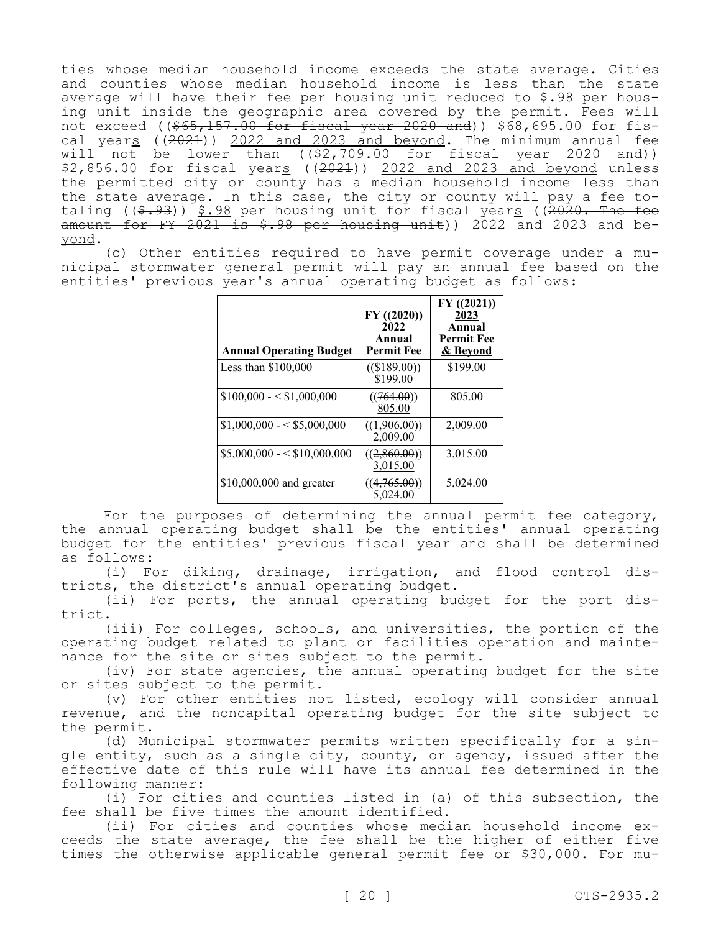ties whose median household income exceeds the state average. Cities and counties whose median household income is less than the state average will have their fee per housing unit reduced to \$.98 per housing unit inside the geographic area covered by the permit. Fees will not exceed ((\$65,157.00 for fiscal year 2020 and)) \$68,695.00 for fiscal years ((2021)) 2022 and 2023 and beyond. The minimum annual fee will not be lower than  $((\$2,709.00 \text{ for fiscal year } 2020 \text{ and}))$ \$2,856.00 for fiscal years ((2021)) 2022 and 2023 and beyond unless the permitted city or county has a median household income less than the state average. In this case, the city or county will pay a fee totaling ( $(\frac{2020}{1000})$ ,  $\frac{5.98}{1000}$  per housing unit for fiscal years ( $(2020)$ . The fee amount for FY 2021 is  $$.98$  per housing unit)) 2022 and 2023 and beyond.

(c) Other entities required to have permit coverage under a municipal stormwater general permit will pay an annual fee based on the entities' previous year's annual operating budget as follows:

| <b>Annual Operating Budget</b> | $FY$ ((2020))<br>2022<br>Annual<br><b>Permit Fee</b> | FY(2021)<br>2023<br>Annual<br><b>Permit Fee</b><br>& Beyond |
|--------------------------------|------------------------------------------------------|-------------------------------------------------------------|
| Less than $$100,000$           | $((\$189.00))$<br>\$199.00                           | \$199.00                                                    |
| $$100,000 - $1,000,000$        | ((764.00))<br>805.00                                 | 805.00                                                      |
| $$1,000,000 - $5,000,000$      | ((1,906.00))<br>2,009.00                             | 2,009.00                                                    |
| $$5,000,000 - $10,000,000$     | ((2,860.00))<br>3,015.00                             | 3,015.00                                                    |
| \$10,000,000 and greater       | ((4,765.00))<br>5,024.00                             | 5,024.00                                                    |

For the purposes of determining the annual permit fee category, the annual operating budget shall be the entities' annual operating budget for the entities' previous fiscal year and shall be determined as follows:

(i) For diking, drainage, irrigation, and flood control districts, the district's annual operating budget.

(ii) For ports, the annual operating budget for the port district.

(iii) For colleges, schools, and universities, the portion of the operating budget related to plant or facilities operation and maintenance for the site or sites subject to the permit.

(iv) For state agencies, the annual operating budget for the site or sites subject to the permit.

(v) For other entities not listed, ecology will consider annual revenue, and the noncapital operating budget for the site subject to the permit.

(d) Municipal stormwater permits written specifically for a single entity, such as a single city, county, or agency, issued after the effective date of this rule will have its annual fee determined in the following manner:

(i) For cities and counties listed in (a) of this subsection, the fee shall be five times the amount identified.

(ii) For cities and counties whose median household income exceeds the state average, the fee shall be the higher of either five times the otherwise applicable general permit fee or \$30,000. For mu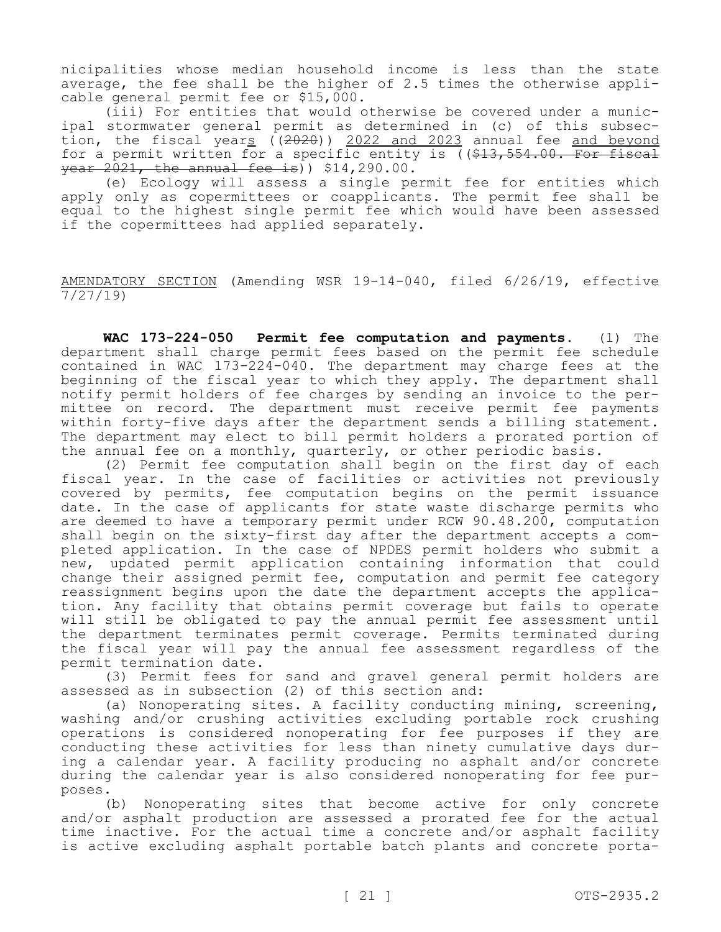nicipalities whose median household income is less than the state average, the fee shall be the higher of 2.5 times the otherwise applicable general permit fee or \$15,000.

(iii) For entities that would otherwise be covered under a municipal stormwater general permit as determined in (c) of this subsection, the fiscal years  $(2020)$ ) 2022 and 2023 annual fee and beyond for a permit written for a specific entity is  $($   $\frac{13}{7}$  554.00. For fiscal  $\frac{1}{100}$   $\frac{1}{2021}$ , the annual fee is)) \$14,290.00.

(e) Ecology will assess a single permit fee for entities which apply only as copermittees or coapplicants. The permit fee shall be equal to the highest single permit fee which would have been assessed if the copermittees had applied separately.

AMENDATORY SECTION (Amending WSR 19-14-040, filed 6/26/19, effective 7/27/19)

**WAC 173-224-050 Permit fee computation and payments.** (1) The department shall charge permit fees based on the permit fee schedule contained in WAC 173-224-040. The department may charge fees at the beginning of the fiscal year to which they apply. The department shall notify permit holders of fee charges by sending an invoice to the permittee on record. The department must receive permit fee payments within forty-five days after the department sends a billing statement. The department may elect to bill permit holders a prorated portion of the annual fee on a monthly, quarterly, or other periodic basis.

(2) Permit fee computation shall begin on the first day of each fiscal year. In the case of facilities or activities not previously covered by permits, fee computation begins on the permit issuance date. In the case of applicants for state waste discharge permits who are deemed to have a temporary permit under RCW 90.48.200, computation shall begin on the sixty-first day after the department accepts a completed application. In the case of NPDES permit holders who submit a new, updated permit application containing information that could change their assigned permit fee, computation and permit fee category reassignment begins upon the date the department accepts the application. Any facility that obtains permit coverage but fails to operate will still be obligated to pay the annual permit fee assessment until the department terminates permit coverage. Permits terminated during the fiscal year will pay the annual fee assessment regardless of the permit termination date.

(3) Permit fees for sand and gravel general permit holders are assessed as in subsection (2) of this section and:

(a) Nonoperating sites. A facility conducting mining, screening, washing and/or crushing activities excluding portable rock crushing operations is considered nonoperating for fee purposes if they are conducting these activities for less than ninety cumulative days during a calendar year. A facility producing no asphalt and/or concrete during the calendar year is also considered nonoperating for fee purposes.

(b) Nonoperating sites that become active for only concrete and/or asphalt production are assessed a prorated fee for the actual time inactive. For the actual time a concrete and/or asphalt facility is active excluding asphalt portable batch plants and concrete porta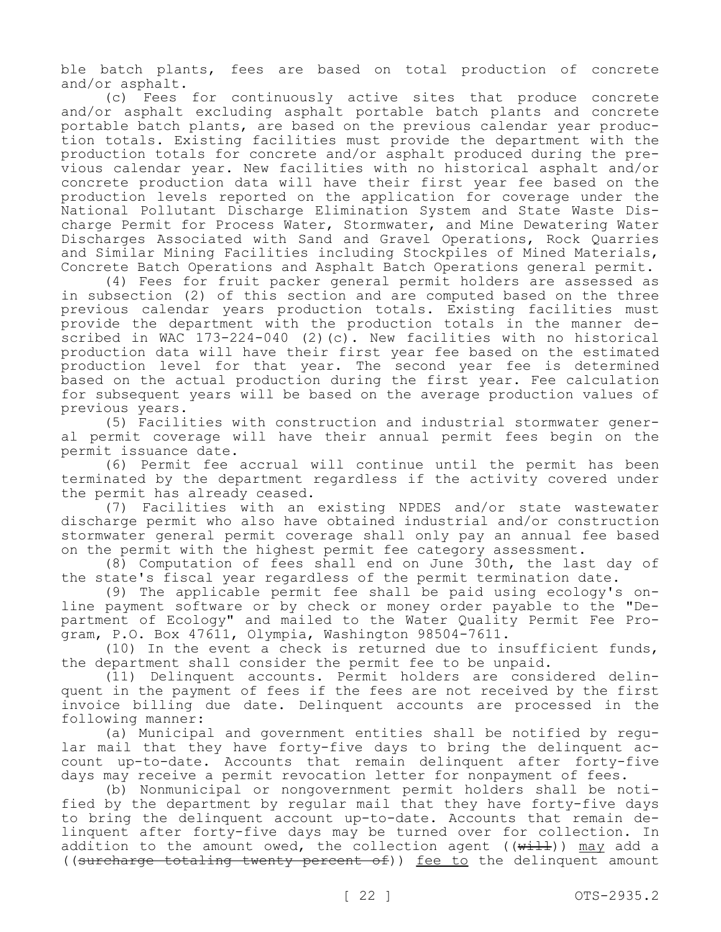ble batch plants, fees are based on total production of concrete and/or asphalt.

(c) Fees for continuously active sites that produce concrete and/or asphalt excluding asphalt portable batch plants and concrete portable batch plants, are based on the previous calendar year production totals. Existing facilities must provide the department with the production totals for concrete and/or asphalt produced during the previous calendar year. New facilities with no historical asphalt and/or concrete production data will have their first year fee based on the production levels reported on the application for coverage under the National Pollutant Discharge Elimination System and State Waste Discharge Permit for Process Water, Stormwater, and Mine Dewatering Water Discharges Associated with Sand and Gravel Operations, Rock Quarries and Similar Mining Facilities including Stockpiles of Mined Materials, Concrete Batch Operations and Asphalt Batch Operations general permit.

(4) Fees for fruit packer general permit holders are assessed as in subsection (2) of this section and are computed based on the three previous calendar years production totals. Existing facilities must provide the department with the production totals in the manner described in WAC 173-224-040 (2)(c). New facilities with no historical production data will have their first year fee based on the estimated production level for that year. The second year fee is determined based on the actual production during the first year. Fee calculation for subsequent years will be based on the average production values of previous years.

(5) Facilities with construction and industrial stormwater general permit coverage will have their annual permit fees begin on the permit issuance date.

(6) Permit fee accrual will continue until the permit has been terminated by the department regardless if the activity covered under the permit has already ceased.

(7) Facilities with an existing NPDES and/or state wastewater discharge permit who also have obtained industrial and/or construction stormwater general permit coverage shall only pay an annual fee based on the permit with the highest permit fee category assessment.

(8) Computation of fees shall end on June 30th, the last day of the state's fiscal year regardless of the permit termination date.

(9) The applicable permit fee shall be paid using ecology's online payment software or by check or money order payable to the "Department of Ecology" and mailed to the Water Quality Permit Fee Program, P.O. Box 47611, Olympia, Washington 98504-7611.

(10) In the event a check is returned due to insufficient funds, the department shall consider the permit fee to be unpaid.

(11) Delinquent accounts. Permit holders are considered delinquent in the payment of fees if the fees are not received by the first invoice billing due date. Delinquent accounts are processed in the following manner:

(a) Municipal and government entities shall be notified by regular mail that they have forty-five days to bring the delinquent account up-to-date. Accounts that remain delinquent after forty-five days may receive a permit revocation letter for nonpayment of fees.

(b) Nonmunicipal or nongovernment permit holders shall be notified by the department by regular mail that they have forty-five days to bring the delinquent account up-to-date. Accounts that remain delinquent after forty-five days may be turned over for collection. In addition to the amount owed, the collection agent ( $(\overline{\text{width}})$ ) may add a ((surcharge totaling twenty percent of)) fee to the delinquent amount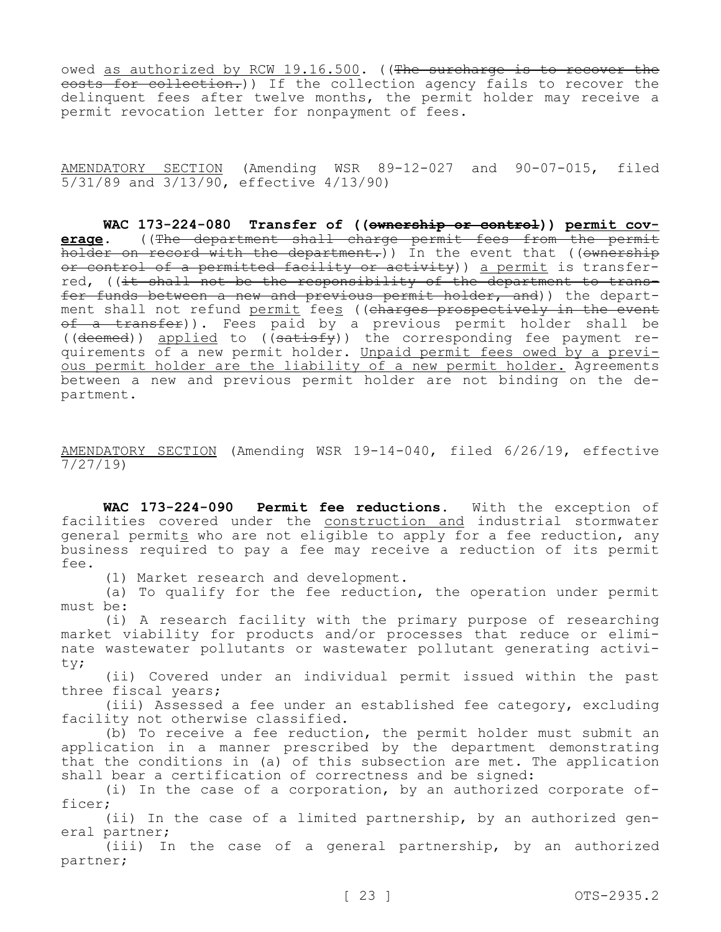owed as authorized by RCW 19.16.500. ((The surcharge is to recover the costs for collection.)) If the collection agency fails to recover the delinquent fees after twelve months, the permit holder may receive a permit revocation letter for nonpayment of fees.

AMENDATORY SECTION (Amending WSR 89-12-027 and 90-07-015, filed 5/31/89 and 3/13/90, effective 4/13/90)

**WAC 173-224-080 Transfer of ((ownership or control)) permit coverage.** ((The department shall charge permit fees from the permit holder on record with the department.)) In the event that ((ownership or control of a permitted facility or activity)) a permit is transferred, ((it shall not be the responsibility of the department to transfer funds between a new and previous permit holder, and)) the department shall not refund <u>permit</u> fee<u>s</u> ((<del>charges prospectively in the event</del> <del>of a transfer</del>)). Fees paid by a previous permit holder shall be ((deemed)) applied to ( $\overline{(\text{satisty})}$ ) the corresponding fee payment requirements of a new permit holder. Unpaid permit fees owed by a previous permit holder are the liability of a new permit holder. Agreements between a new and previous permit holder are not binding on the department.

AMENDATORY SECTION (Amending WSR 19-14-040, filed 6/26/19, effective 7/27/19)

**WAC 173-224-090 Permit fee reductions.** With the exception of facilities covered under the construction and industrial stormwater general permits who are not eligible to apply for a fee reduction, any business required to pay a fee may receive a reduction of its permit fee.

(1) Market research and development.

(a) To qualify for the fee reduction, the operation under permit must be:

(i) A research facility with the primary purpose of researching market viability for products and/or processes that reduce or eliminate wastewater pollutants or wastewater pollutant generating activity;

(ii) Covered under an individual permit issued within the past three fiscal years;

(iii) Assessed a fee under an established fee category, excluding facility not otherwise classified.

(b) To receive a fee reduction, the permit holder must submit an application in a manner prescribed by the department demonstrating that the conditions in (a) of this subsection are met. The application shall bear a certification of correctness and be signed:

(i) In the case of a corporation, by an authorized corporate officer;

(ii) In the case of a limited partnership, by an authorized general partner;

(iii) In the case of a general partnership, by an authorized partner;